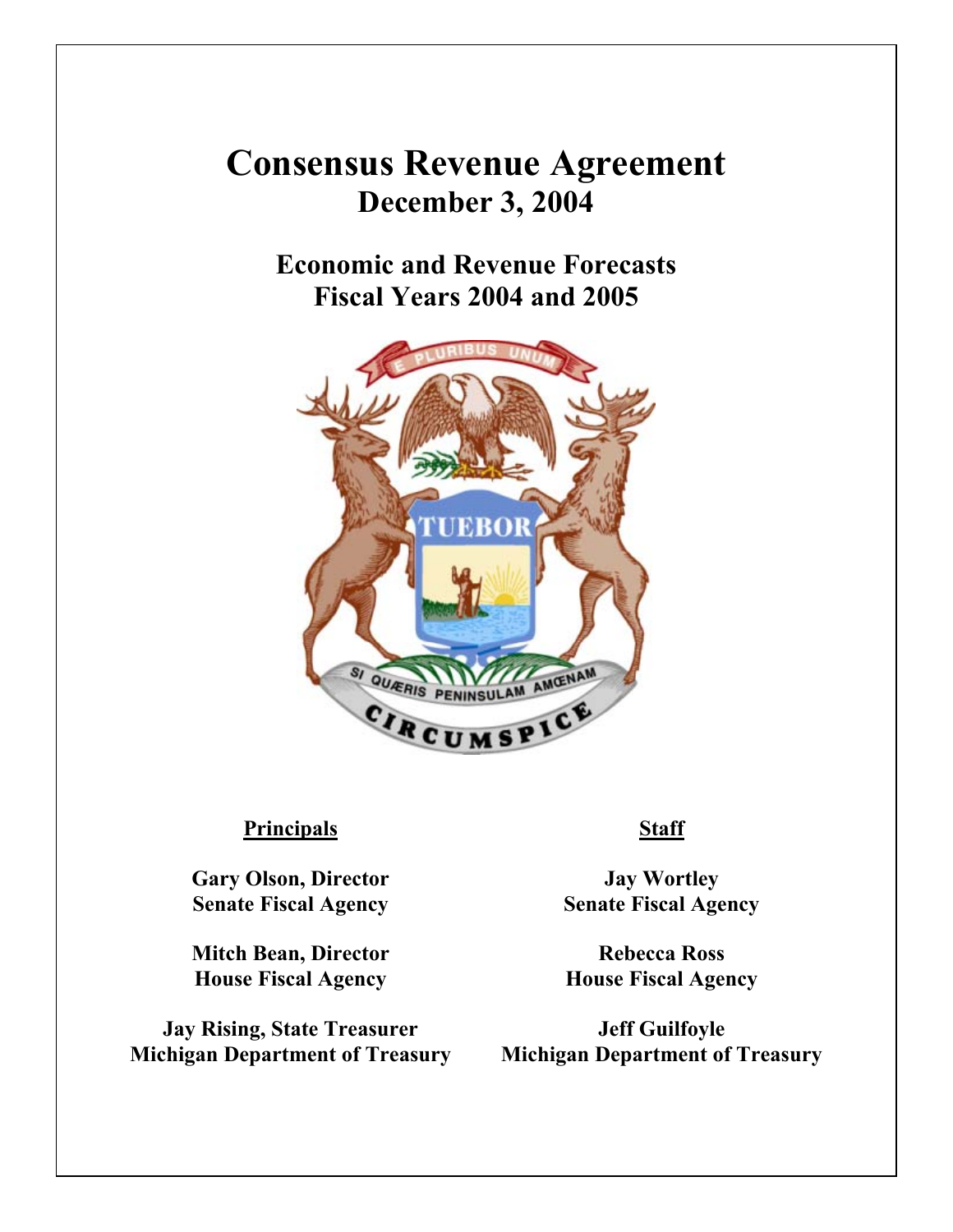# **Consensus Revenue Agreement December 3, 2004**

# **Economic and Revenue Forecasts Fiscal Years 2004 and 2005**



#### **Principals Staff**

**Gary Olson, Director Senate Fiscal Agency**

**Mitch Bean, Director House Fiscal Agency**

**Jay Rising, State Treasurer Michigan Department of Treasury**

**Jay Wortley Senate Fiscal Agency**

**Rebecca Ross House Fiscal Agency**

**Jeff Guilfoyle Michigan Department of Treasury**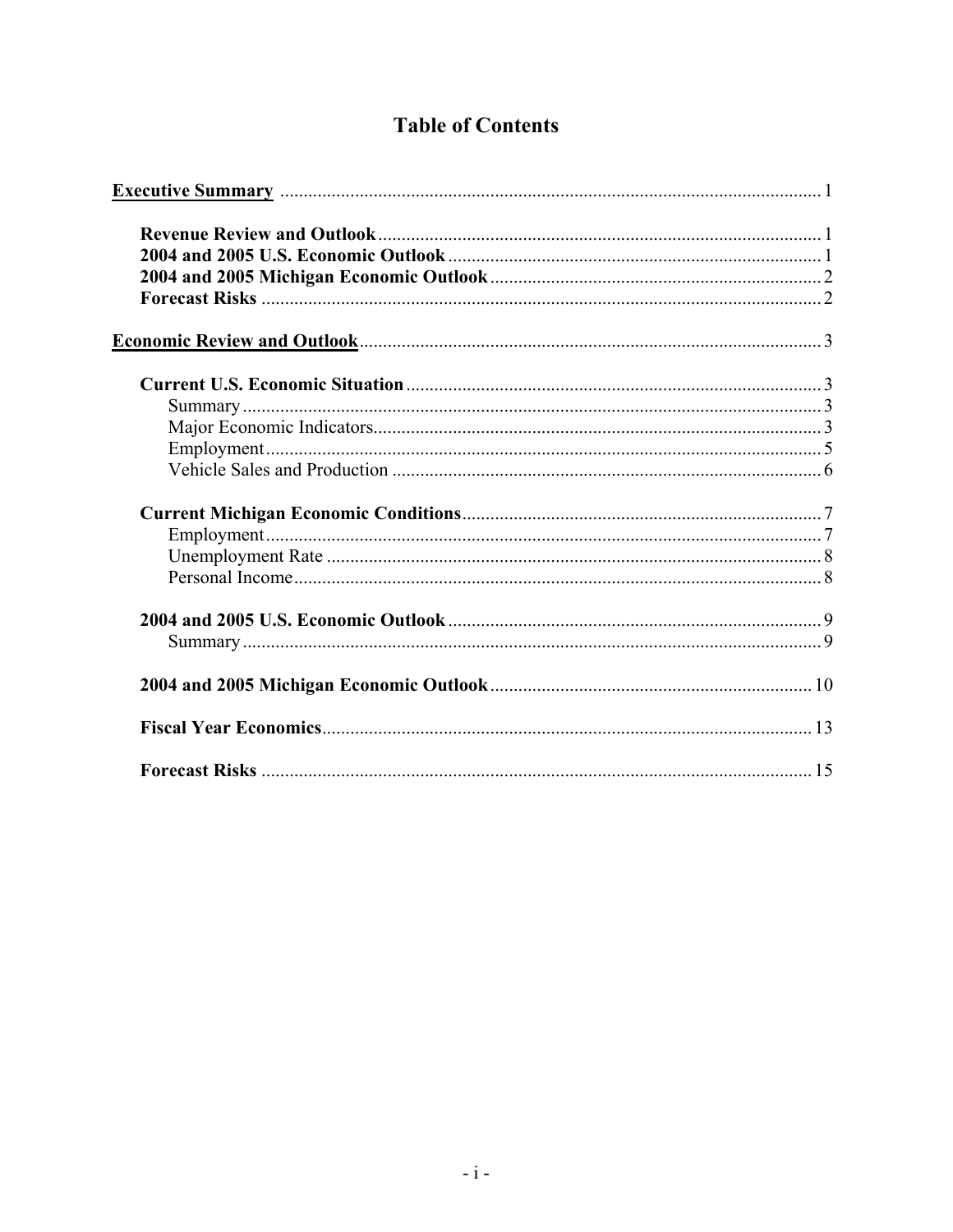# **Table of Contents**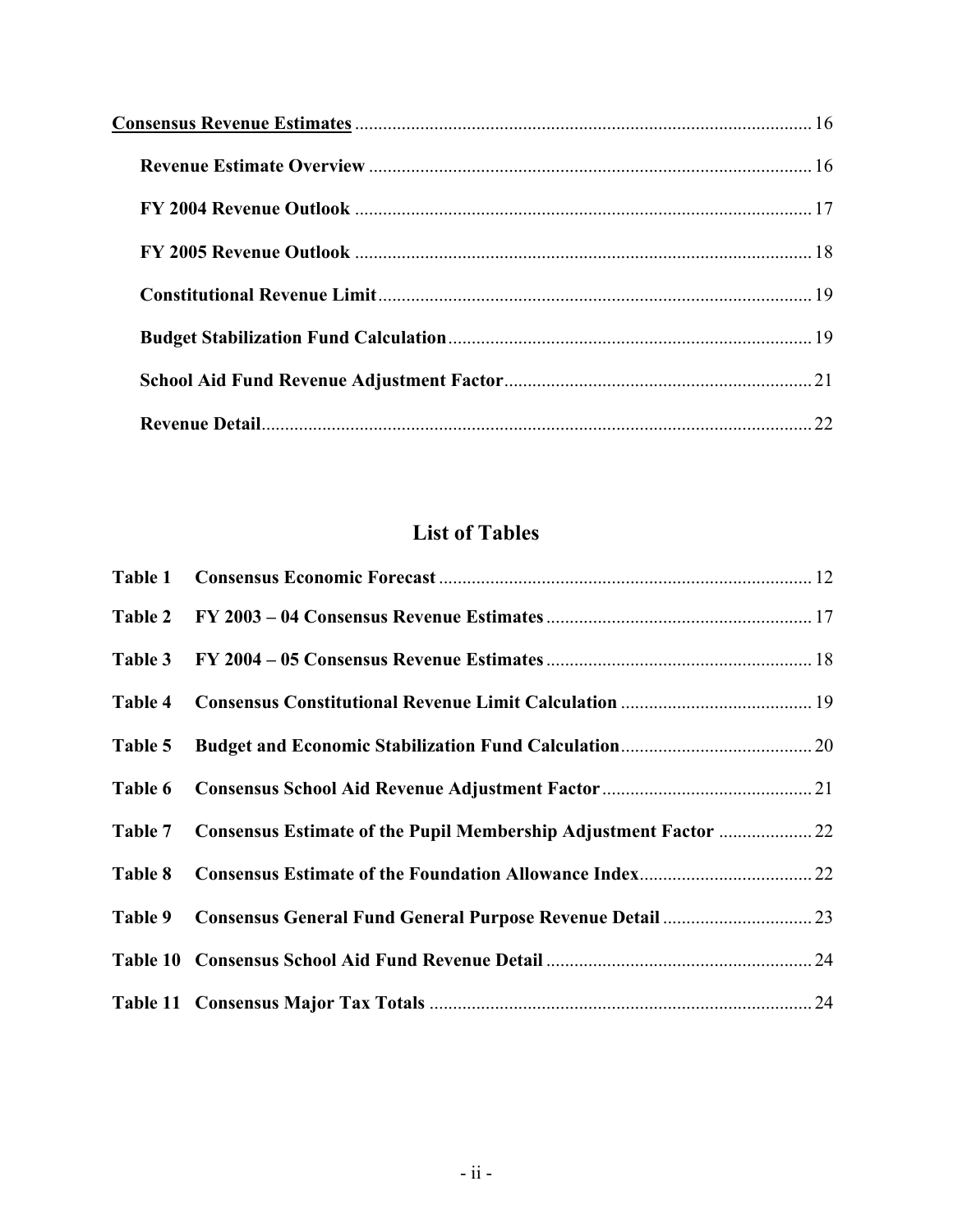| 22 |
|----|

# **List of Tables**

| Table 2 |  |
|---------|--|
| Table 3 |  |
| Table 4 |  |
| Table 5 |  |
| Table 6 |  |
| Table 7 |  |
| Table 8 |  |
| Table 9 |  |
|         |  |
|         |  |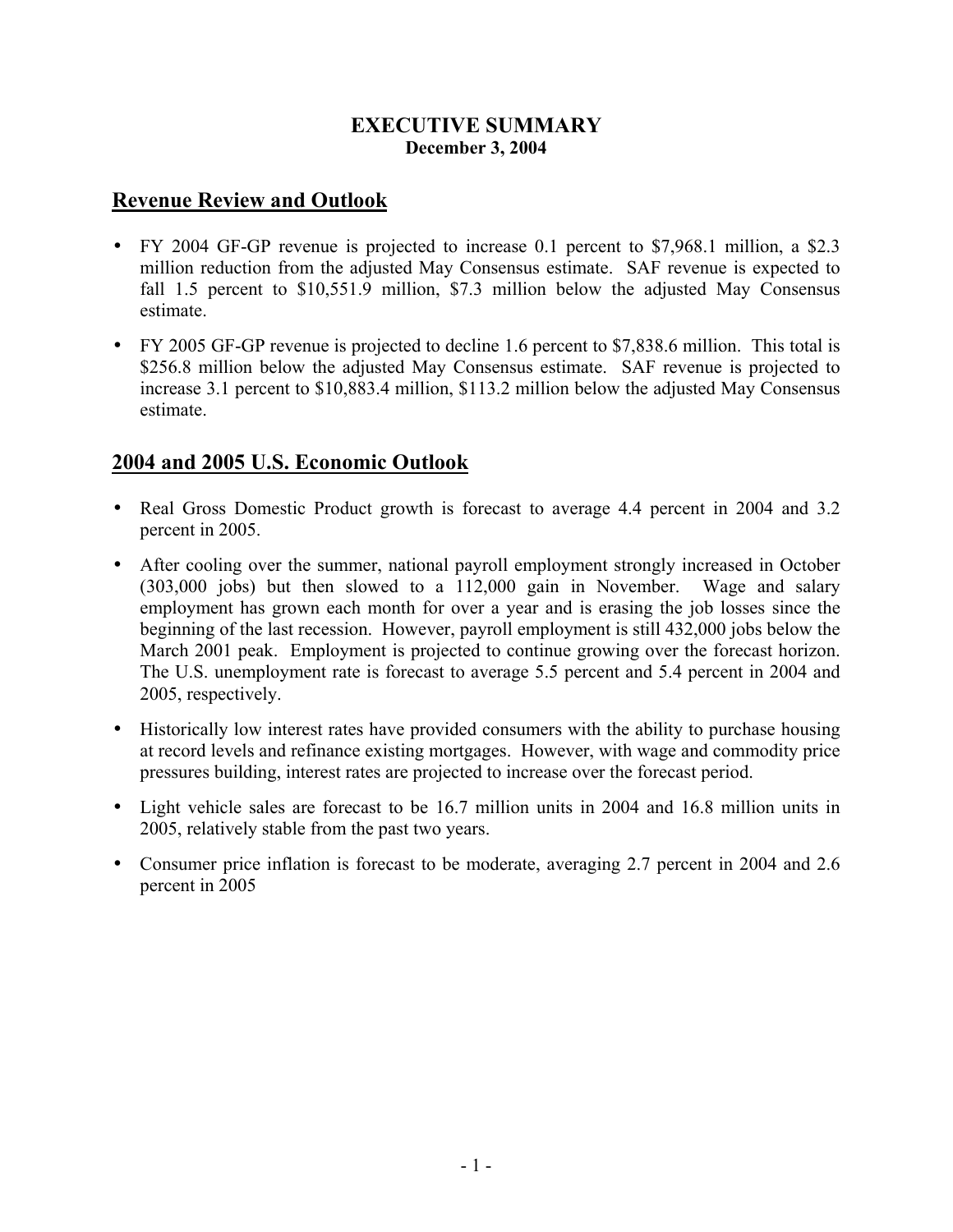#### **EXECUTIVE SUMMARY December 3, 2004**

#### **Revenue Review and Outlook**

- FY 2004 GF-GP revenue is projected to increase 0.1 percent to \$7,968.1 million, a \$2.3 million reduction from the adjusted May Consensus estimate. SAF revenue is expected to fall 1.5 percent to \$10,551.9 million, \$7.3 million below the adjusted May Consensus estimate.
- FY 2005 GF-GP revenue is projected to decline 1.6 percent to \$7,838.6 million. This total is \$256.8 million below the adjusted May Consensus estimate. SAF revenue is projected to increase 3.1 percent to \$10,883.4 million, \$113.2 million below the adjusted May Consensus estimate.

#### **2004 and 2005 U.S. Economic Outlook**

- Real Gross Domestic Product growth is forecast to average 4.4 percent in 2004 and 3.2 percent in 2005.
- After cooling over the summer, national payroll employment strongly increased in October (303,000 jobs) but then slowed to a 112,000 gain in November. Wage and salary employment has grown each month for over a year and is erasing the job losses since the beginning of the last recession. However, payroll employment is still 432,000 jobs below the March 2001 peak. Employment is projected to continue growing over the forecast horizon. The U.S. unemployment rate is forecast to average 5.5 percent and 5.4 percent in 2004 and 2005, respectively.
- Historically low interest rates have provided consumers with the ability to purchase housing at record levels and refinance existing mortgages. However, with wage and commodity price pressures building, interest rates are projected to increase over the forecast period.
- Light vehicle sales are forecast to be 16.7 million units in 2004 and 16.8 million units in 2005, relatively stable from the past two years.
- Consumer price inflation is forecast to be moderate, averaging 2.7 percent in 2004 and 2.6 percent in 2005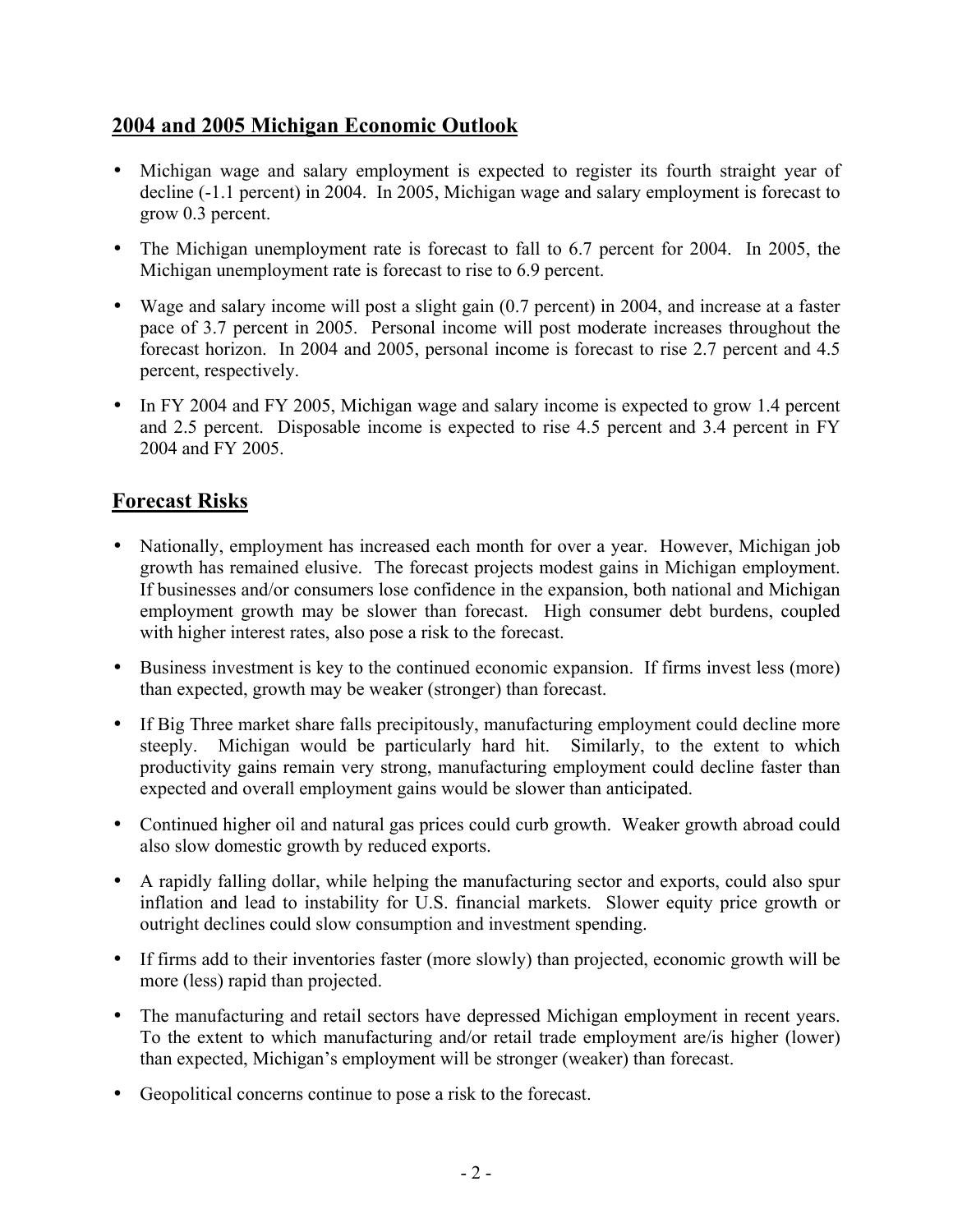#### **2004 and 2005 Michigan Economic Outlook**

- Michigan wage and salary employment is expected to register its fourth straight year of decline (-1.1 percent) in 2004. In 2005, Michigan wage and salary employment is forecast to grow 0.3 percent.
- The Michigan unemployment rate is forecast to fall to 6.7 percent for 2004. In 2005, the Michigan unemployment rate is forecast to rise to 6.9 percent.
- Wage and salary income will post a slight gain (0.7 percent) in 2004, and increase at a faster pace of 3.7 percent in 2005. Personal income will post moderate increases throughout the forecast horizon. In 2004 and 2005, personal income is forecast to rise 2.7 percent and 4.5 percent, respectively.
- In FY 2004 and FY 2005, Michigan wage and salary income is expected to grow 1.4 percent and 2.5 percent. Disposable income is expected to rise 4.5 percent and 3.4 percent in FY 2004 and FY 2005.

#### **Forecast Risks**

- Nationally, employment has increased each month for over a year. However, Michigan job growth has remained elusive. The forecast projects modest gains in Michigan employment. If businesses and/or consumers lose confidence in the expansion, both national and Michigan employment growth may be slower than forecast. High consumer debt burdens, coupled with higher interest rates, also pose a risk to the forecast.
- Business investment is key to the continued economic expansion. If firms invest less (more) than expected, growth may be weaker (stronger) than forecast.
- If Big Three market share falls precipitously, manufacturing employment could decline more steeply. Michigan would be particularly hard hit. Similarly, to the extent to which productivity gains remain very strong, manufacturing employment could decline faster than expected and overall employment gains would be slower than anticipated.
- Continued higher oil and natural gas prices could curb growth. Weaker growth abroad could also slow domestic growth by reduced exports.
- A rapidly falling dollar, while helping the manufacturing sector and exports, could also spur inflation and lead to instability for U.S. financial markets. Slower equity price growth or outright declines could slow consumption and investment spending.
- If firms add to their inventories faster (more slowly) than projected, economic growth will be more (less) rapid than projected.
- The manufacturing and retail sectors have depressed Michigan employment in recent years. To the extent to which manufacturing and/or retail trade employment are/is higher (lower) than expected, Michigan's employment will be stronger (weaker) than forecast.
- Geopolitical concerns continue to pose a risk to the forecast.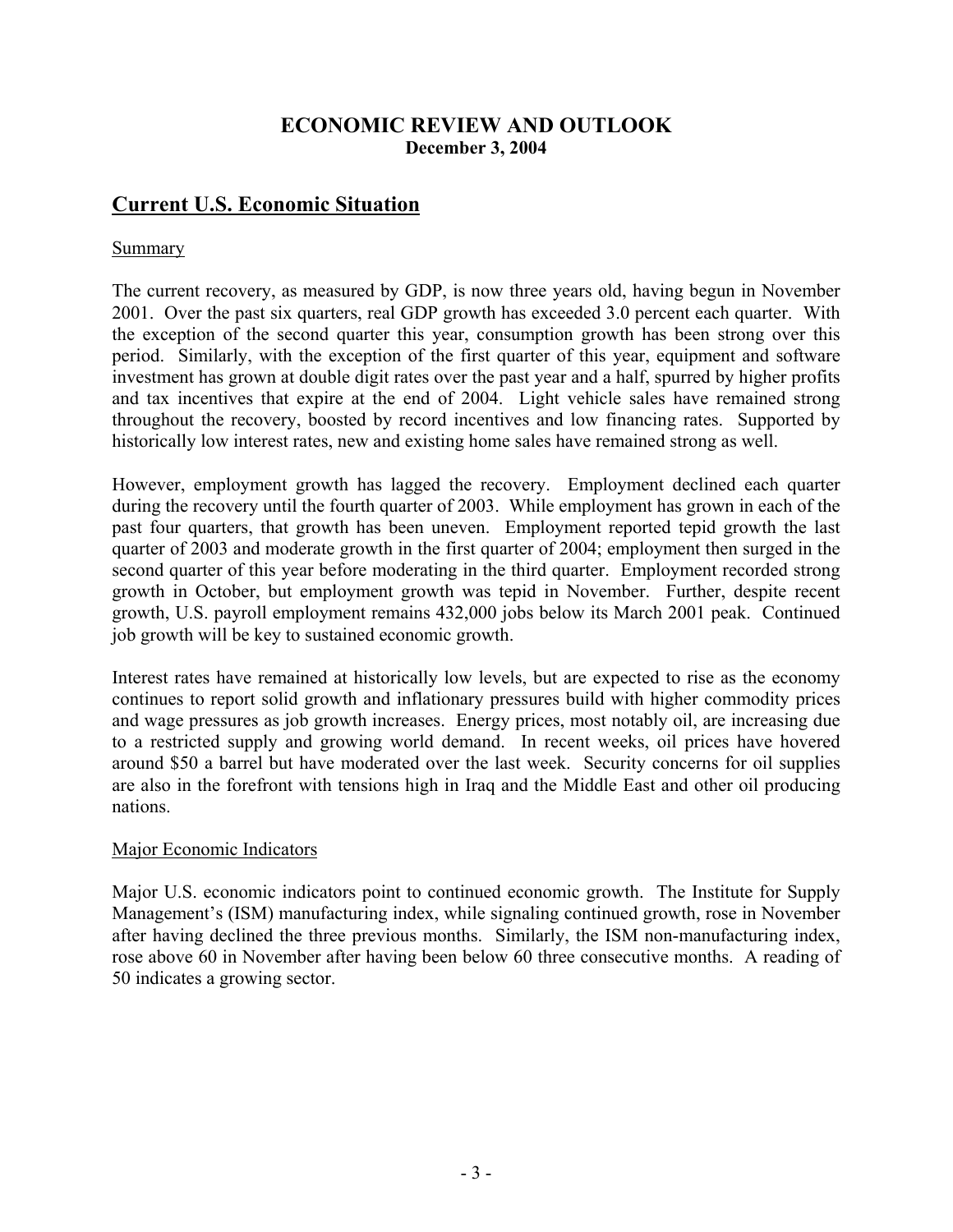#### **ECONOMIC REVIEW AND OUTLOOK December 3, 2004**

#### **Current U.S. Economic Situation**

#### Summary

The current recovery, as measured by GDP, is now three years old, having begun in November 2001. Over the past six quarters, real GDP growth has exceeded 3.0 percent each quarter. With the exception of the second quarter this year, consumption growth has been strong over this period. Similarly, with the exception of the first quarter of this year, equipment and software investment has grown at double digit rates over the past year and a half, spurred by higher profits and tax incentives that expire at the end of 2004. Light vehicle sales have remained strong throughout the recovery, boosted by record incentives and low financing rates. Supported by historically low interest rates, new and existing home sales have remained strong as well.

However, employment growth has lagged the recovery. Employment declined each quarter during the recovery until the fourth quarter of 2003. While employment has grown in each of the past four quarters, that growth has been uneven. Employment reported tepid growth the last quarter of 2003 and moderate growth in the first quarter of 2004; employment then surged in the second quarter of this year before moderating in the third quarter. Employment recorded strong growth in October, but employment growth was tepid in November. Further, despite recent growth, U.S. payroll employment remains 432,000 jobs below its March 2001 peak. Continued job growth will be key to sustained economic growth.

Interest rates have remained at historically low levels, but are expected to rise as the economy continues to report solid growth and inflationary pressures build with higher commodity prices and wage pressures as job growth increases. Energy prices, most notably oil, are increasing due to a restricted supply and growing world demand. In recent weeks, oil prices have hovered around \$50 a barrel but have moderated over the last week. Security concerns for oil supplies are also in the forefront with tensions high in Iraq and the Middle East and other oil producing nations.

#### Major Economic Indicators

Major U.S. economic indicators point to continued economic growth. The Institute for Supply Management's (ISM) manufacturing index, while signaling continued growth, rose in November after having declined the three previous months. Similarly, the ISM non-manufacturing index, rose above 60 in November after having been below 60 three consecutive months. A reading of 50 indicates a growing sector.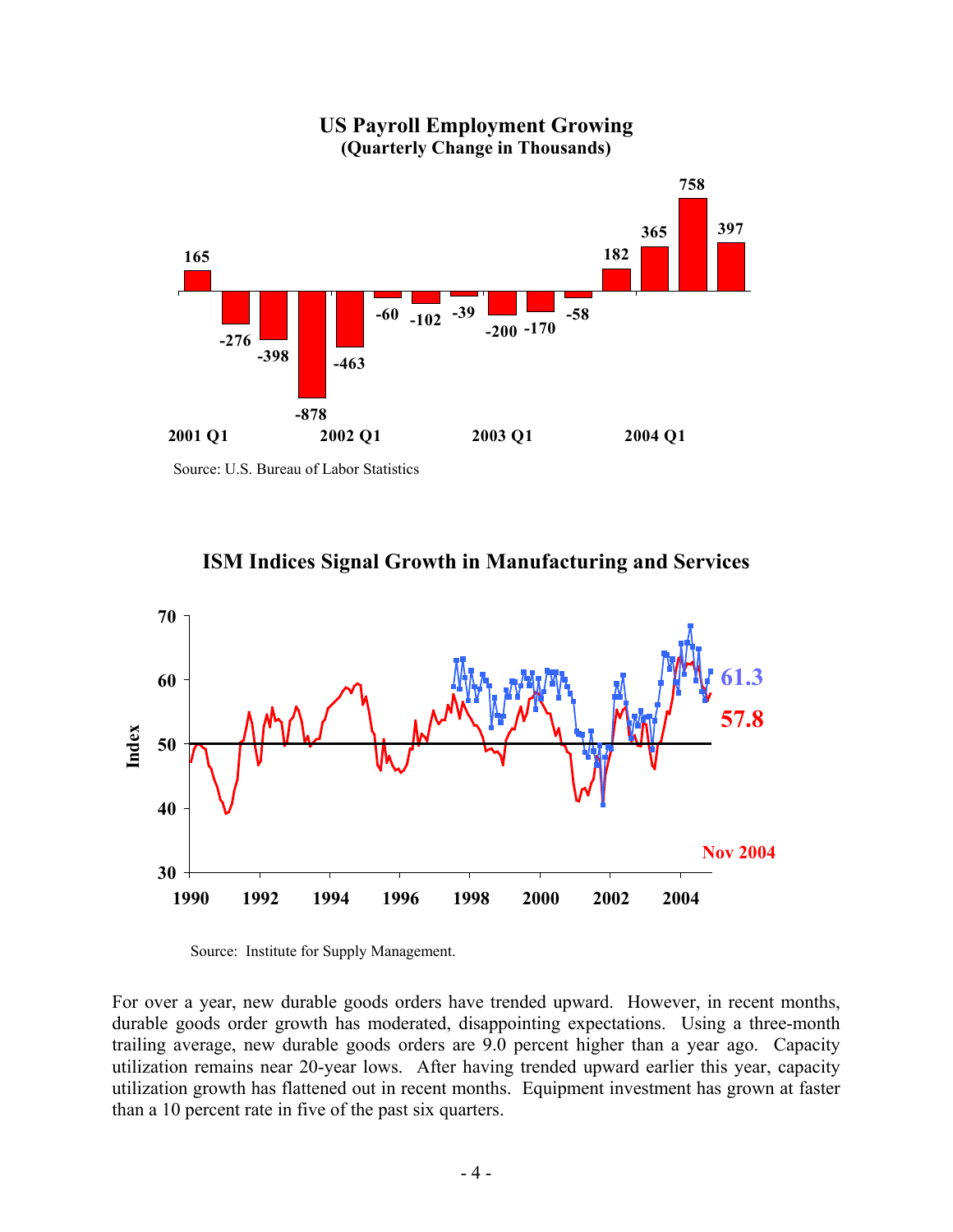

**US Payroll Employment Growing (Quarterly Change in Thousands)**

Source: U.S. Bureau of Labor Statistics





Source: Institute for Supply Management.

For over a year, new durable goods orders have trended upward. However, in recent months, durable goods order growth has moderated, disappointing expectations. Using a three-month trailing average, new durable goods orders are 9.0 percent higher than a year ago. Capacity utilization remains near 20-year lows. After having trended upward earlier this year, capacity utilization growth has flattened out in recent months. Equipment investment has grown at faster than a 10 percent rate in five of the past six quarters.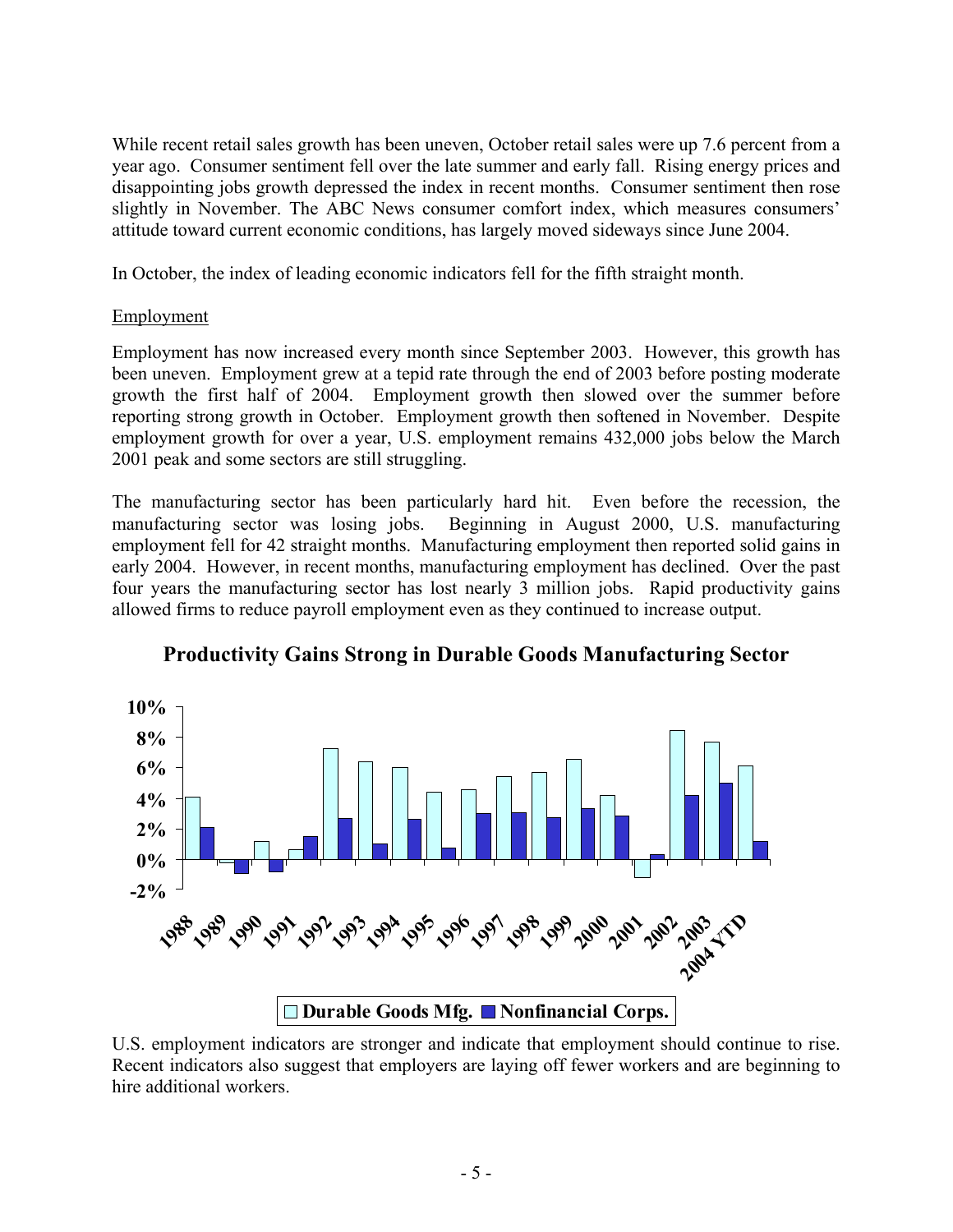While recent retail sales growth has been uneven, October retail sales were up 7.6 percent from a year ago. Consumer sentiment fell over the late summer and early fall. Rising energy prices and disappointing jobs growth depressed the index in recent months. Consumer sentiment then rose slightly in November. The ABC News consumer comfort index, which measures consumers' attitude toward current economic conditions, has largely moved sideways since June 2004.

In October, the index of leading economic indicators fell for the fifth straight month.

#### Employment

Employment has now increased every month since September 2003. However, this growth has been uneven. Employment grew at a tepid rate through the end of 2003 before posting moderate growth the first half of 2004. Employment growth then slowed over the summer before reporting strong growth in October. Employment growth then softened in November. Despite employment growth for over a year, U.S. employment remains 432,000 jobs below the March 2001 peak and some sectors are still struggling.

The manufacturing sector has been particularly hard hit. Even before the recession, the manufacturing sector was losing jobs. Beginning in August 2000, U.S. manufacturing employment fell for 42 straight months. Manufacturing employment then reported solid gains in early 2004. However, in recent months, manufacturing employment has declined. Over the past four years the manufacturing sector has lost nearly 3 million jobs. Rapid productivity gains allowed firms to reduce payroll employment even as they continued to increase output.



**Productivity Gains Strong in Durable Goods Manufacturing Sector**

U.S. employment indicators are stronger and indicate that employment should continue to rise. Recent indicators also suggest that employers are laying off fewer workers and are beginning to hire additional workers.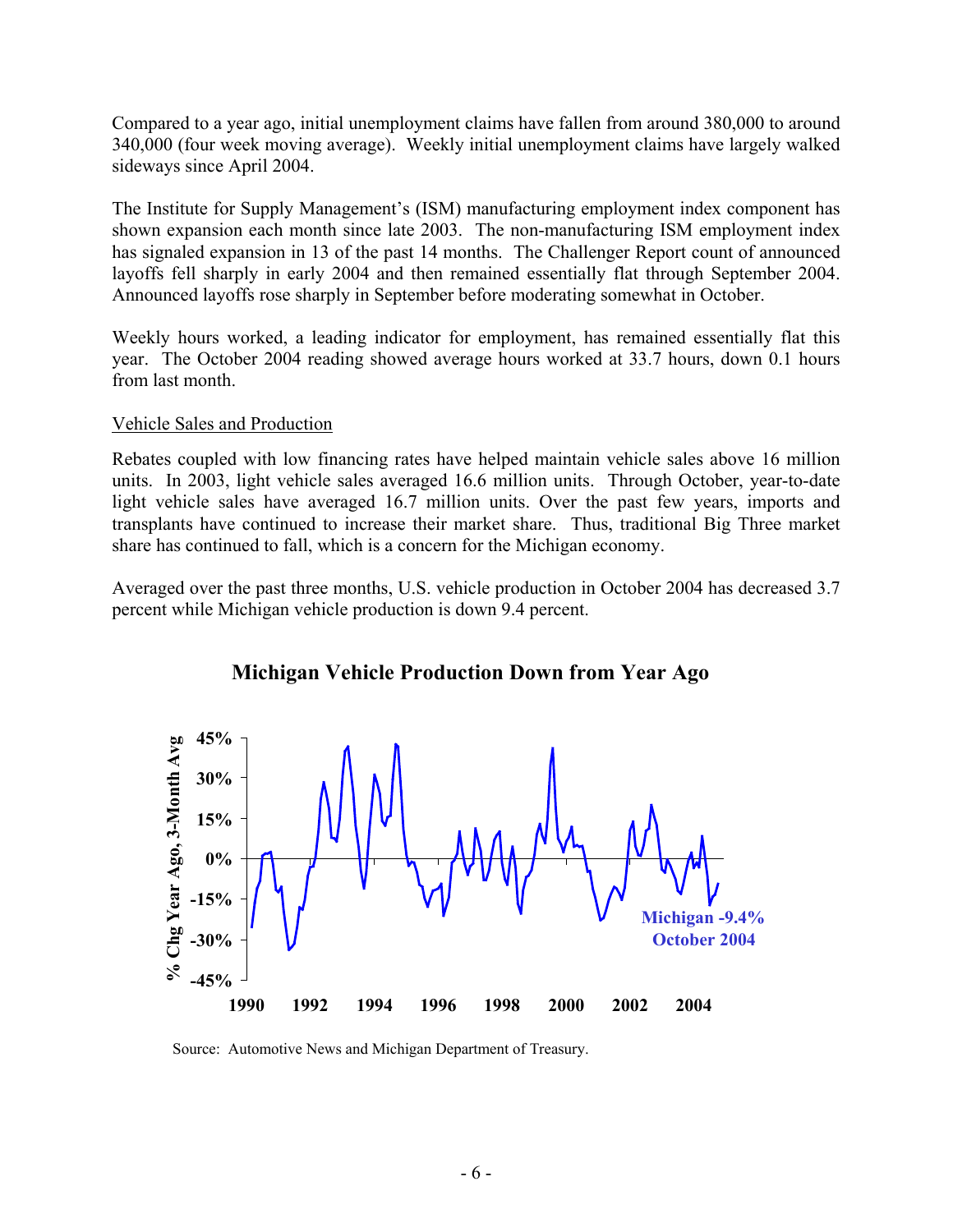Compared to a year ago, initial unemployment claims have fallen from around 380,000 to around 340,000 (four week moving average). Weekly initial unemployment claims have largely walked sideways since April 2004.

The Institute for Supply Management's (ISM) manufacturing employment index component has shown expansion each month since late 2003. The non-manufacturing ISM employment index has signaled expansion in 13 of the past 14 months. The Challenger Report count of announced layoffs fell sharply in early 2004 and then remained essentially flat through September 2004. Announced layoffs rose sharply in September before moderating somewhat in October.

Weekly hours worked, a leading indicator for employment, has remained essentially flat this year. The October 2004 reading showed average hours worked at 33.7 hours, down 0.1 hours from last month.

#### Vehicle Sales and Production

Rebates coupled with low financing rates have helped maintain vehicle sales above 16 million units. In 2003, light vehicle sales averaged 16.6 million units. Through October, year-to-date light vehicle sales have averaged 16.7 million units. Over the past few years, imports and transplants have continued to increase their market share. Thus, traditional Big Three market share has continued to fall, which is a concern for the Michigan economy.

Averaged over the past three months, U.S. vehicle production in October 2004 has decreased 3.7 percent while Michigan vehicle production is down 9.4 percent.



#### **Michigan Vehicle Production Down from Year Ago**

Source: Automotive News and Michigan Department of Treasury.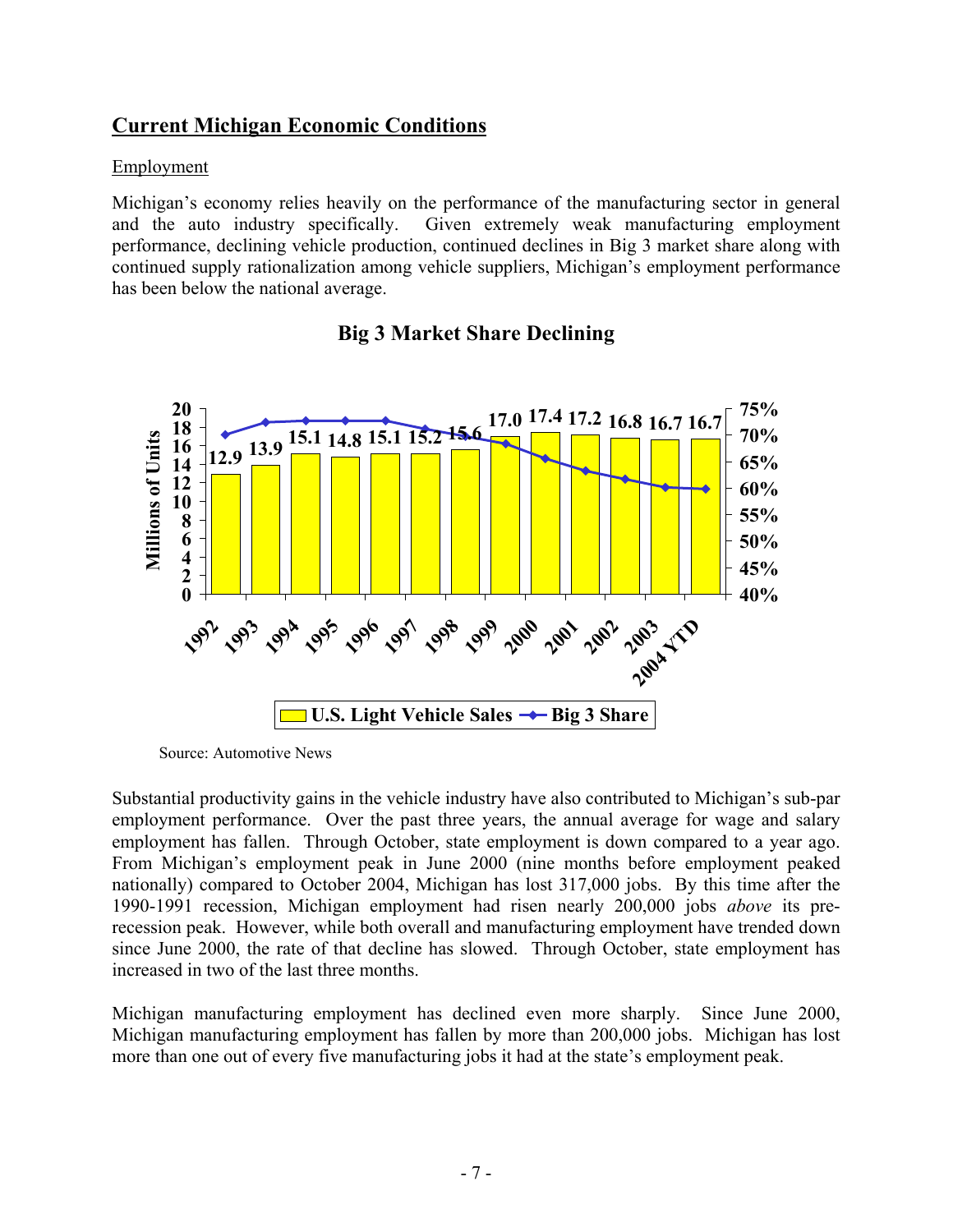#### **Current Michigan Economic Conditions**

#### Employment

Michigan's economy relies heavily on the performance of the manufacturing sector in general and the auto industry specifically. Given extremely weak manufacturing employment performance, declining vehicle production, continued declines in Big 3 market share along with continued supply rationalization among vehicle suppliers, Michigan's employment performance has been below the national average.



#### **Big 3 Market Share Declining**

Source: Automotive News

Substantial productivity gains in the vehicle industry have also contributed to Michigan's sub-par employment performance. Over the past three years, the annual average for wage and salary employment has fallen. Through October, state employment is down compared to a year ago. From Michigan's employment peak in June 2000 (nine months before employment peaked nationally) compared to October 2004, Michigan has lost 317,000 jobs. By this time after the 1990-1991 recession, Michigan employment had risen nearly 200,000 jobs *above* its prerecession peak. However, while both overall and manufacturing employment have trended down since June 2000, the rate of that decline has slowed. Through October, state employment has increased in two of the last three months.

Michigan manufacturing employment has declined even more sharply. Since June 2000, Michigan manufacturing employment has fallen by more than 200,000 jobs. Michigan has lost more than one out of every five manufacturing jobs it had at the state's employment peak.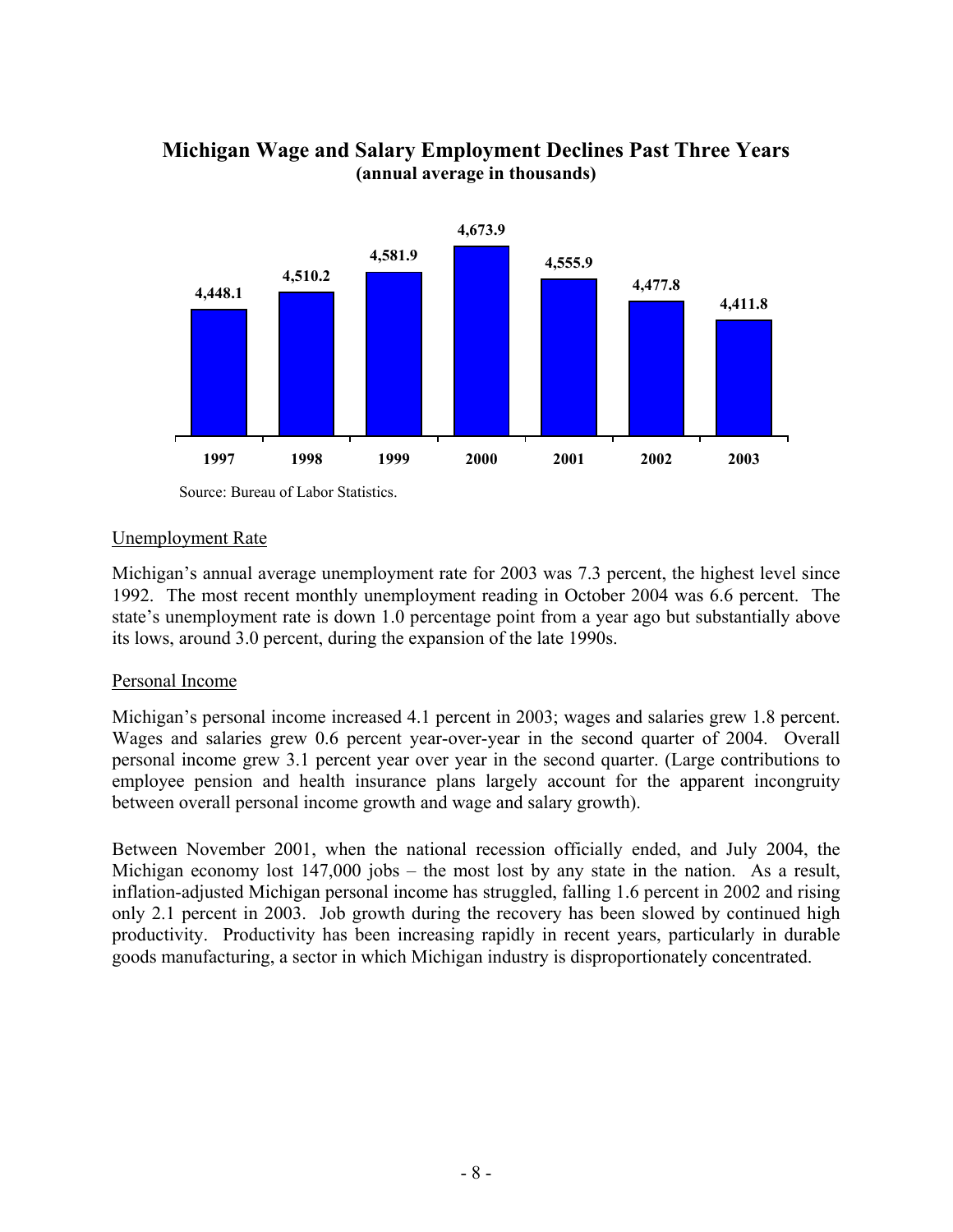

#### **Michigan Wage and Salary Employment Declines Past Three Years (annual average in thousands)**

#### Unemployment Rate

Michigan's annual average unemployment rate for 2003 was 7.3 percent, the highest level since 1992. The most recent monthly unemployment reading in October 2004 was 6.6 percent. The state's unemployment rate is down 1.0 percentage point from a year ago but substantially above its lows, around 3.0 percent, during the expansion of the late 1990s.

#### Personal Income

Michigan's personal income increased 4.1 percent in 2003; wages and salaries grew 1.8 percent. Wages and salaries grew 0.6 percent year-over-year in the second quarter of 2004. Overall personal income grew 3.1 percent year over year in the second quarter. (Large contributions to employee pension and health insurance plans largely account for the apparent incongruity between overall personal income growth and wage and salary growth).

Between November 2001, when the national recession officially ended, and July 2004, the Michigan economy lost 147,000 jobs – the most lost by any state in the nation. As a result, inflation-adjusted Michigan personal income has struggled, falling 1.6 percent in 2002 and rising only 2.1 percent in 2003. Job growth during the recovery has been slowed by continued high productivity. Productivity has been increasing rapidly in recent years, particularly in durable goods manufacturing, a sector in which Michigan industry is disproportionately concentrated.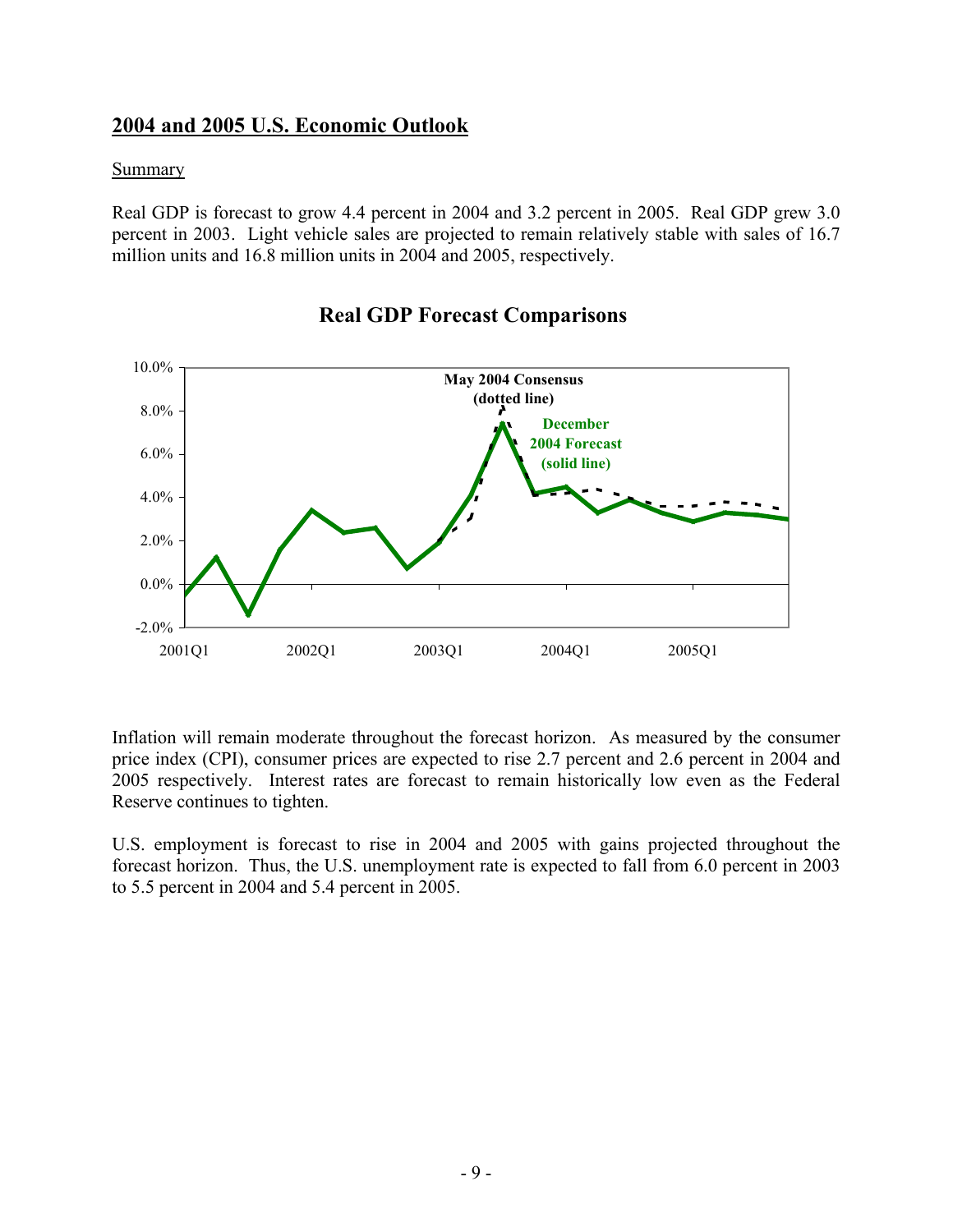#### **2004 and 2005 U.S. Economic Outlook**

#### **Summary**

Real GDP is forecast to grow 4.4 percent in 2004 and 3.2 percent in 2005. Real GDP grew 3.0 percent in 2003. Light vehicle sales are projected to remain relatively stable with sales of 16.7 million units and 16.8 million units in 2004 and 2005, respectively.



#### **Real GDP Forecast Comparisons**

Inflation will remain moderate throughout the forecast horizon. As measured by the consumer price index (CPI), consumer prices are expected to rise 2.7 percent and 2.6 percent in 2004 and 2005 respectively. Interest rates are forecast to remain historically low even as the Federal Reserve continues to tighten.

U.S. employment is forecast to rise in 2004 and 2005 with gains projected throughout the forecast horizon. Thus, the U.S. unemployment rate is expected to fall from 6.0 percent in 2003 to 5.5 percent in 2004 and 5.4 percent in 2005.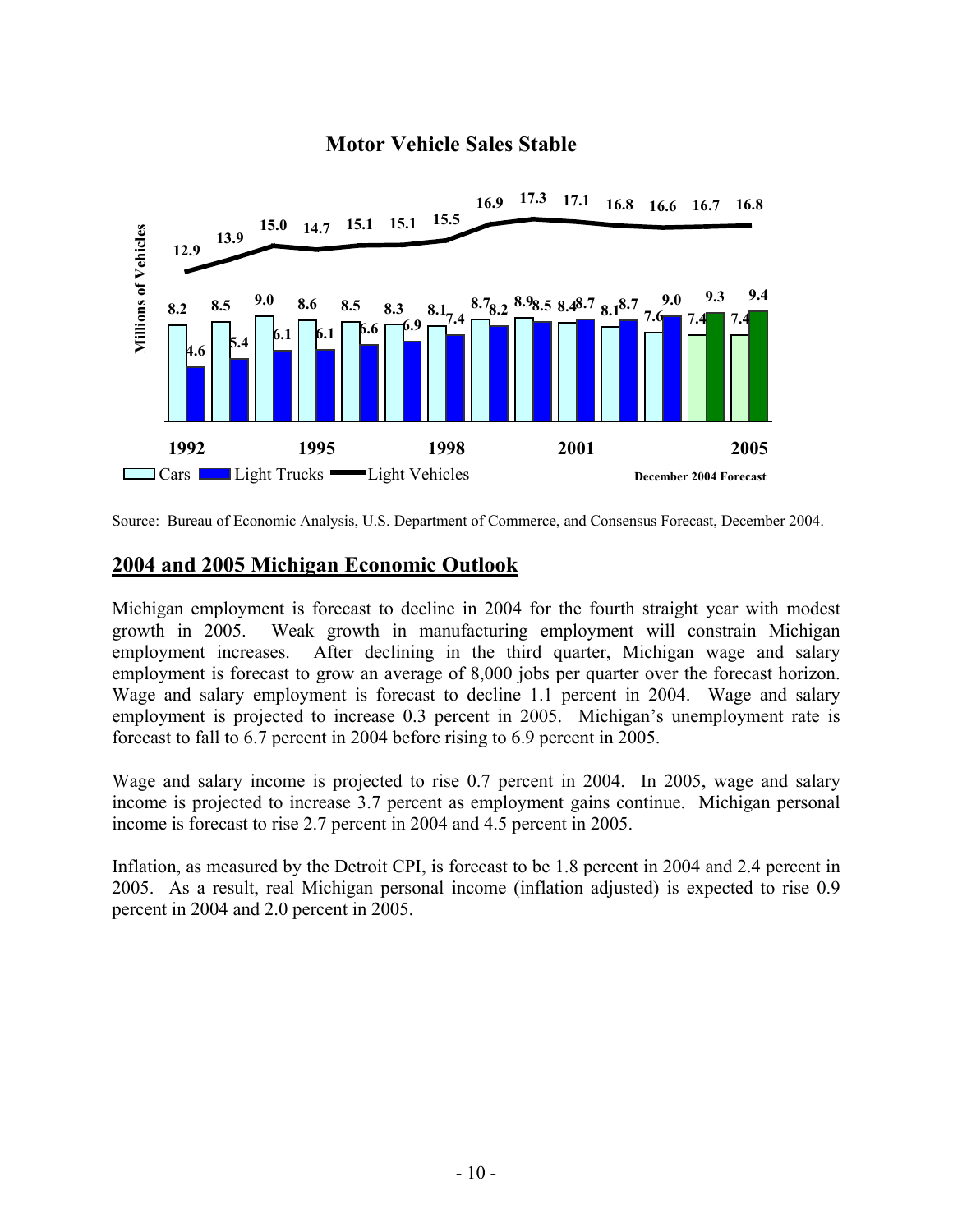# **16.9 17.3 17.1 16.8 16.6 16.7 16.8 15.0 14.7 15.1 15.1 15.5 Millions of Vehicles Millions of Vehicles 13.9 12.9 8.2 8.5 9.0 8.6 8.5 8.3 8.1 6.1 8.7 8.2 8.9 8.5 8.4 8.7 8.1 8.1 7.6 7.6 7.6 1 1 1 1 4.6 5.4 6.1 6.1 6.1 6.6 6.9 6.9 6.9 6.9 6.9 6.9 6.9 6.9 6.9 6.9 6.9 6.9 6.9 6.9 6.9 6.9 6.9 6.1 6.1 6.6 6.9 6.9 6.9 6.9 6.9 6.9 6.9 6.9 6.9 6.9 6.9 1992 1995 1998 2001 2005 Cars** Light Trucks — Light Vehicles **December 2004 Forecast**

#### **Motor Vehicle Sales Stable**

#### **2004 and 2005 Michigan Economic Outlook**

Michigan employment is forecast to decline in 2004 for the fourth straight year with modest growth in 2005. Weak growth in manufacturing employment will constrain Michigan employment increases. After declining in the third quarter, Michigan wage and salary employment is forecast to grow an average of 8,000 jobs per quarter over the forecast horizon. Wage and salary employment is forecast to decline 1.1 percent in 2004. Wage and salary employment is projected to increase 0.3 percent in 2005. Michigan's unemployment rate is forecast to fall to 6.7 percent in 2004 before rising to 6.9 percent in 2005.

Wage and salary income is projected to rise 0.7 percent in 2004. In 2005, wage and salary income is projected to increase 3.7 percent as employment gains continue. Michigan personal income is forecast to rise 2.7 percent in 2004 and 4.5 percent in 2005.

Inflation, as measured by the Detroit CPI, is forecast to be 1.8 percent in 2004 and 2.4 percent in 2005. As a result, real Michigan personal income (inflation adjusted) is expected to rise 0.9 percent in 2004 and 2.0 percent in 2005.

Source: Bureau of Economic Analysis, U.S. Department of Commerce, and Consensus Forecast, December 2004.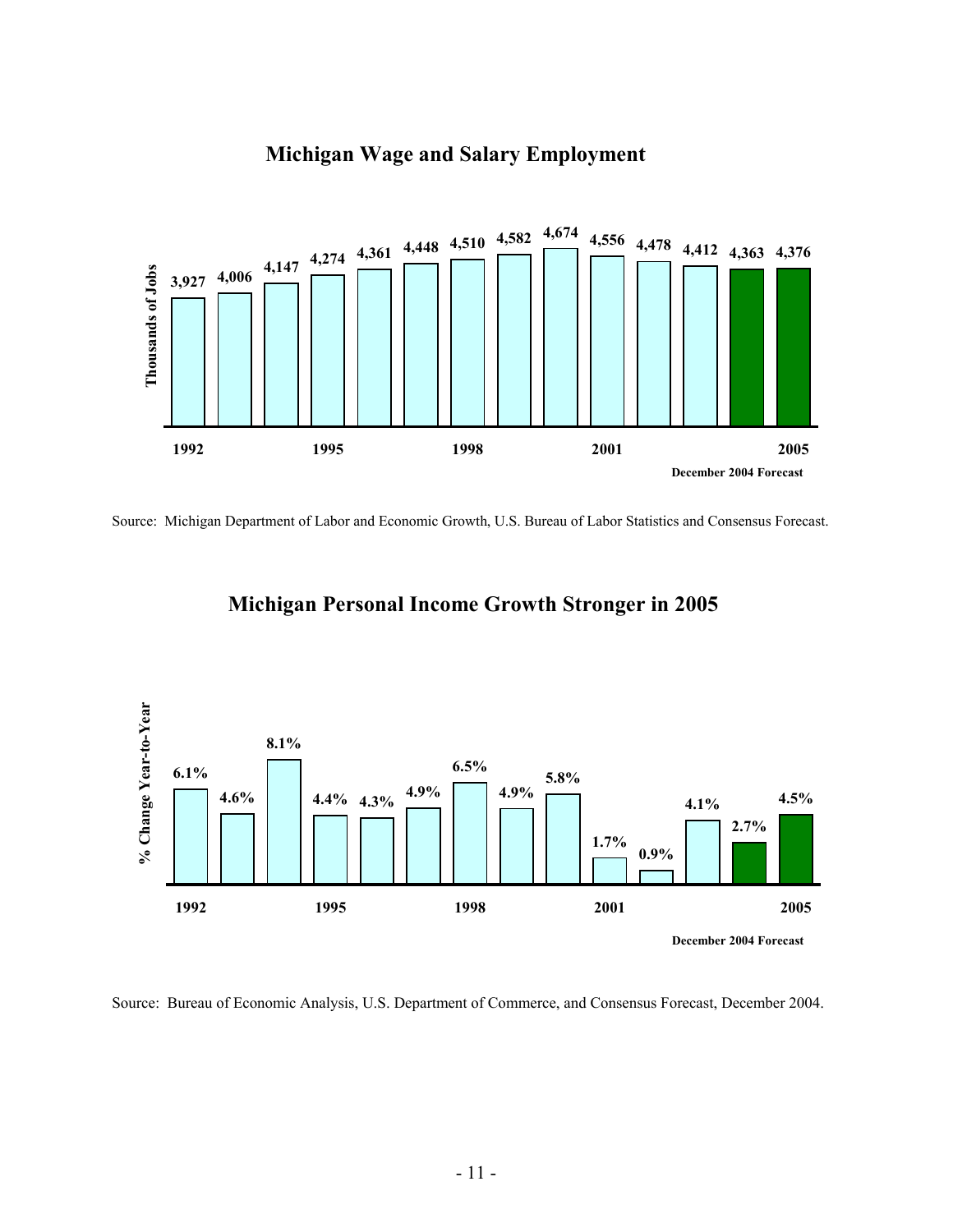

#### **Michigan Wage and Salary Employment**

Source: Michigan Department of Labor and Economic Growth, U.S. Bureau of Labor Statistics and Consensus Forecast.

### **Michigan Personal Income Growth Stronger in 2005**



Source: Bureau of Economic Analysis, U.S. Department of Commerce, and Consensus Forecast, December 2004.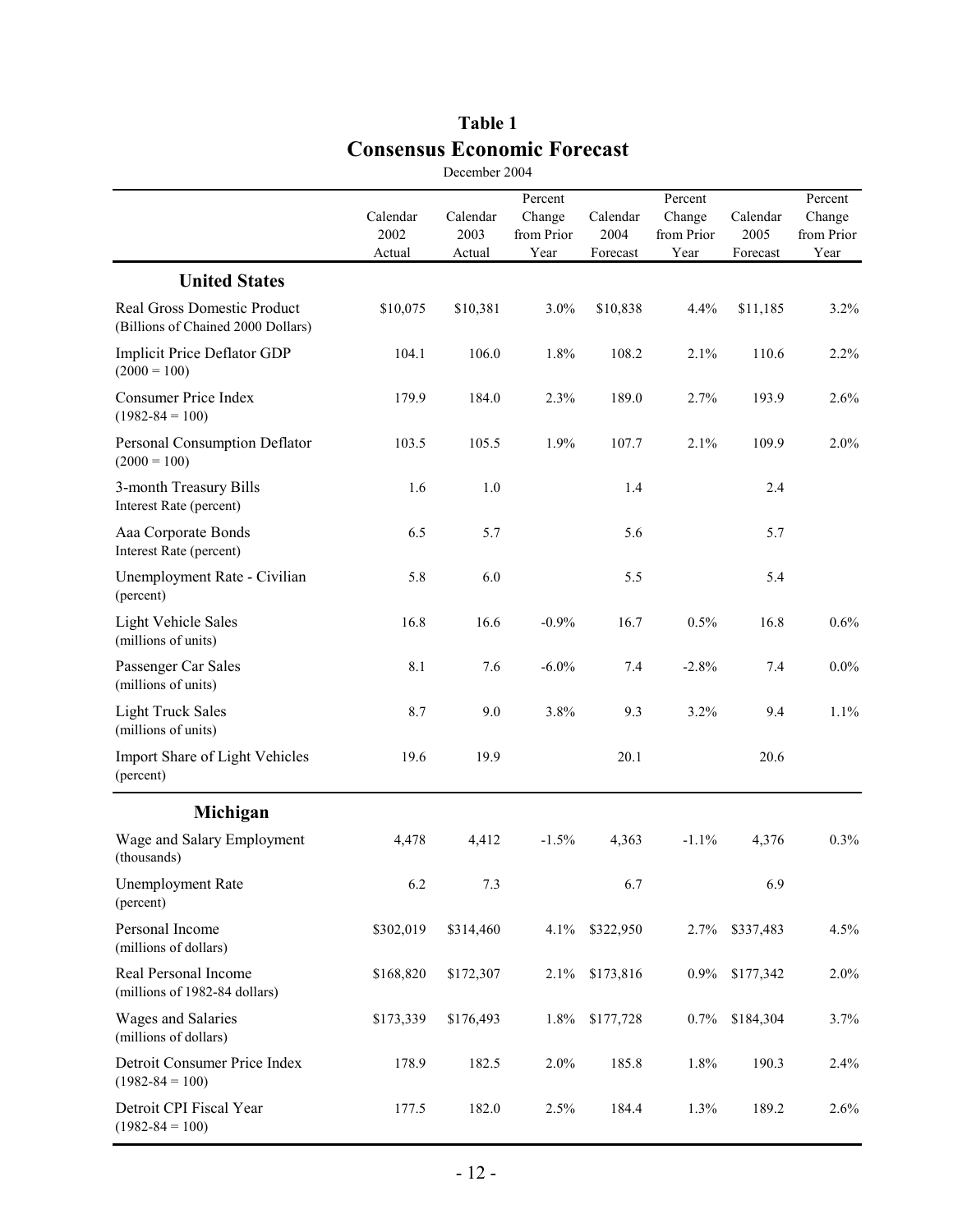|                                                                   |                            | December 2004              |                                         |                              |                                         |                              |                                         |
|-------------------------------------------------------------------|----------------------------|----------------------------|-----------------------------------------|------------------------------|-----------------------------------------|------------------------------|-----------------------------------------|
|                                                                   | Calendar<br>2002<br>Actual | Calendar<br>2003<br>Actual | Percent<br>Change<br>from Prior<br>Year | Calendar<br>2004<br>Forecast | Percent<br>Change<br>from Prior<br>Year | Calendar<br>2005<br>Forecast | Percent<br>Change<br>from Prior<br>Year |
| <b>United States</b>                                              |                            |                            |                                         |                              |                                         |                              |                                         |
| Real Gross Domestic Product<br>(Billions of Chained 2000 Dollars) | \$10,075                   | \$10,381                   | 3.0%                                    | \$10,838                     | 4.4%                                    | \$11,185                     | 3.2%                                    |
| Implicit Price Deflator GDP<br>$(2000 = 100)$                     | 104.1                      | 106.0                      | 1.8%                                    | 108.2                        | 2.1%                                    | 110.6                        | 2.2%                                    |
| <b>Consumer Price Index</b><br>$(1982 - 84 = 100)$                | 179.9                      | 184.0                      | 2.3%                                    | 189.0                        | 2.7%                                    | 193.9                        | 2.6%                                    |
| Personal Consumption Deflator<br>$(2000 = 100)$                   | 103.5                      | 105.5                      | 1.9%                                    | 107.7                        | 2.1%                                    | 109.9                        | 2.0%                                    |
| 3-month Treasury Bills<br>Interest Rate (percent)                 | 1.6                        | $1.0\,$                    |                                         | 1.4                          |                                         | 2.4                          |                                         |
| Aaa Corporate Bonds<br>Interest Rate (percent)                    | 6.5                        | 5.7                        |                                         | 5.6                          |                                         | 5.7                          |                                         |
| Unemployment Rate - Civilian<br>(percent)                         | 5.8                        | 6.0                        |                                         | 5.5                          |                                         | 5.4                          |                                         |
| <b>Light Vehicle Sales</b><br>(millions of units)                 | 16.8                       | 16.6                       | $-0.9%$                                 | 16.7                         | 0.5%                                    | 16.8                         | 0.6%                                    |
| Passenger Car Sales<br>(millions of units)                        | 8.1                        | 7.6                        | $-6.0\%$                                | 7.4                          | $-2.8%$                                 | 7.4                          | $0.0\%$                                 |
| <b>Light Truck Sales</b><br>(millions of units)                   | 8.7                        | 9.0                        | 3.8%                                    | 9.3                          | 3.2%                                    | 9.4                          | 1.1%                                    |
| Import Share of Light Vehicles<br>(percent)                       | 19.6                       | 19.9                       |                                         | 20.1                         |                                         | 20.6                         |                                         |
| Michigan                                                          |                            |                            |                                         |                              |                                         |                              |                                         |
| Wage and Salary Employment<br>(thousands)                         | 4,478                      | 4,412                      | $-1.5%$                                 | 4,363                        | $-1.1%$                                 | 4,376                        | 0.3%                                    |
| <b>Unemployment Rate</b><br>(percent)                             | 6.2                        | 7.3                        |                                         | 6.7                          |                                         | 6.9                          |                                         |
| Personal Income<br>(millions of dollars)                          | \$302,019                  | \$314,460                  | 4.1%                                    | \$322,950                    | 2.7%                                    | \$337,483                    | 4.5%                                    |
| Real Personal Income<br>(millions of 1982-84 dollars)             | \$168,820                  | \$172,307                  | 2.1%                                    | \$173,816                    | $0.9\%$                                 | \$177,342                    | 2.0%                                    |
| Wages and Salaries<br>(millions of dollars)                       | \$173,339                  | \$176,493                  | 1.8%                                    | \$177,728                    | 0.7%                                    | \$184,304                    | 3.7%                                    |
| Detroit Consumer Price Index<br>$(1982 - 84 = 100)$               | 178.9                      | 182.5                      | 2.0%                                    | 185.8                        | $1.8\%$                                 | 190.3                        | 2.4%                                    |
| Detroit CPI Fiscal Year<br>$(1982 - 84 = 100)$                    | 177.5                      | 182.0                      | 2.5%                                    | 184.4                        | 1.3%                                    | 189.2                        | 2.6%                                    |

#### **Table 1 Consensus Economic Forecast**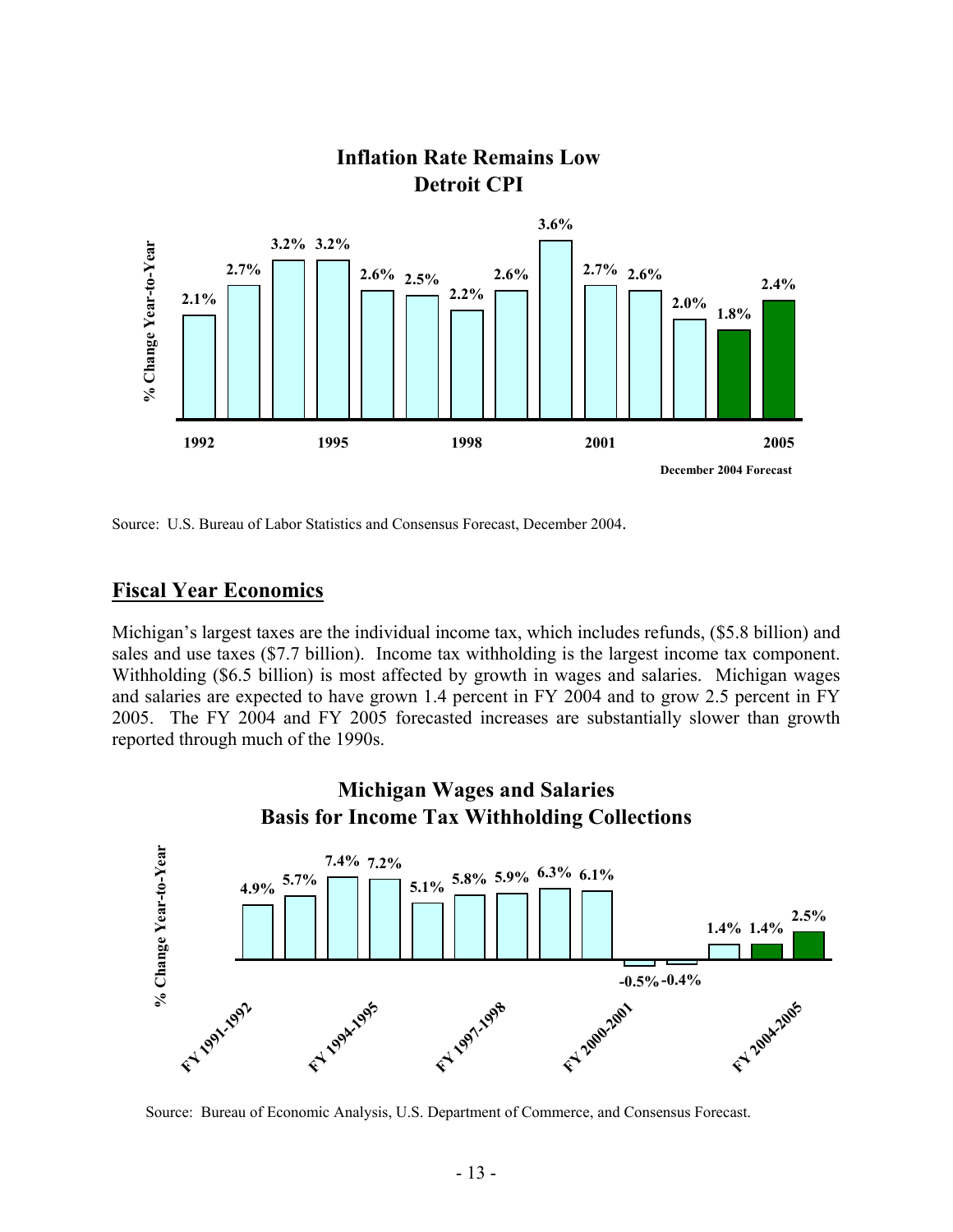

# **Inflation Rate Remains Low**

Source: U.S. Bureau of Labor Statistics and Consensus Forecast, December 2004.

#### **Fiscal Year Economics**

Michigan's largest taxes are the individual income tax, which includes refunds, (\$5.8 billion) and sales and use taxes (\$7.7 billion). Income tax withholding is the largest income tax component. Withholding (\$6.5 billion) is most affected by growth in wages and salaries. Michigan wages and salaries are expected to have grown 1.4 percent in FY 2004 and to grow 2.5 percent in FY 2005. The FY 2004 and FY 2005 forecasted increases are substantially slower than growth reported through much of the 1990s.



Source: Bureau of Economic Analysis, U.S. Department of Commerce, and Consensus Forecast.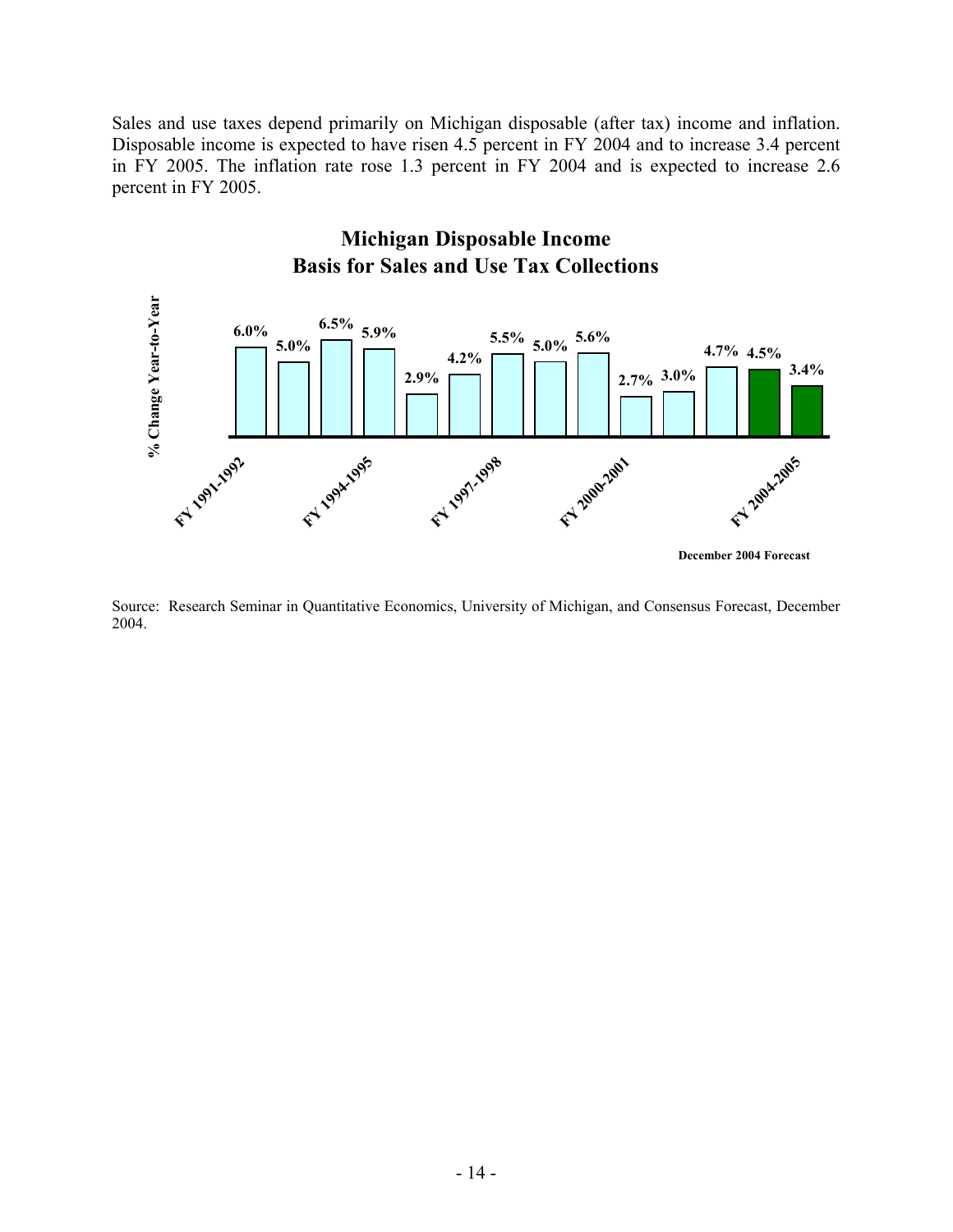Sales and use taxes depend primarily on Michigan disposable (after tax) income and inflation. Disposable income is expected to have risen 4.5 percent in FY 2004 and to increase 3.4 percent in FY 2005. The inflation rate rose 1.3 percent in FY 2004 and is expected to increase 2.6 percent in FY 2005.



Source: Research Seminar in Quantitative Economics, University of Michigan, and Consensus Forecast, December 2004.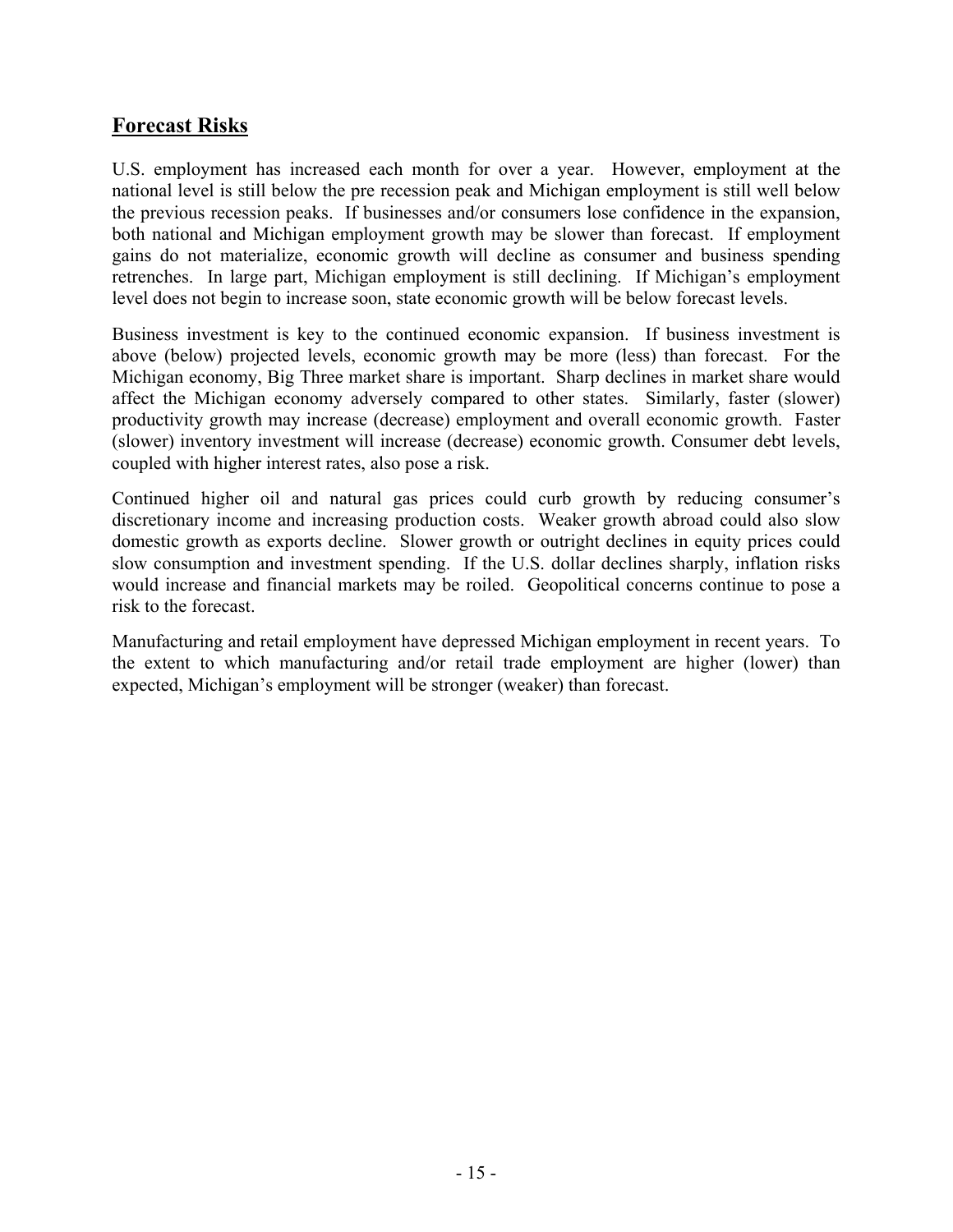#### **Forecast Risks**

U.S. employment has increased each month for over a year. However, employment at the national level is still below the pre recession peak and Michigan employment is still well below the previous recession peaks. If businesses and/or consumers lose confidence in the expansion, both national and Michigan employment growth may be slower than forecast. If employment gains do not materialize, economic growth will decline as consumer and business spending retrenches. In large part, Michigan employment is still declining. If Michigan's employment level does not begin to increase soon, state economic growth will be below forecast levels.

Business investment is key to the continued economic expansion. If business investment is above (below) projected levels, economic growth may be more (less) than forecast. For the Michigan economy, Big Three market share is important. Sharp declines in market share would affect the Michigan economy adversely compared to other states. Similarly, faster (slower) productivity growth may increase (decrease) employment and overall economic growth. Faster (slower) inventory investment will increase (decrease) economic growth. Consumer debt levels, coupled with higher interest rates, also pose a risk.

Continued higher oil and natural gas prices could curb growth by reducing consumer's discretionary income and increasing production costs. Weaker growth abroad could also slow domestic growth as exports decline. Slower growth or outright declines in equity prices could slow consumption and investment spending. If the U.S. dollar declines sharply, inflation risks would increase and financial markets may be roiled. Geopolitical concerns continue to pose a risk to the forecast.

Manufacturing and retail employment have depressed Michigan employment in recent years. To the extent to which manufacturing and/or retail trade employment are higher (lower) than expected, Michigan's employment will be stronger (weaker) than forecast.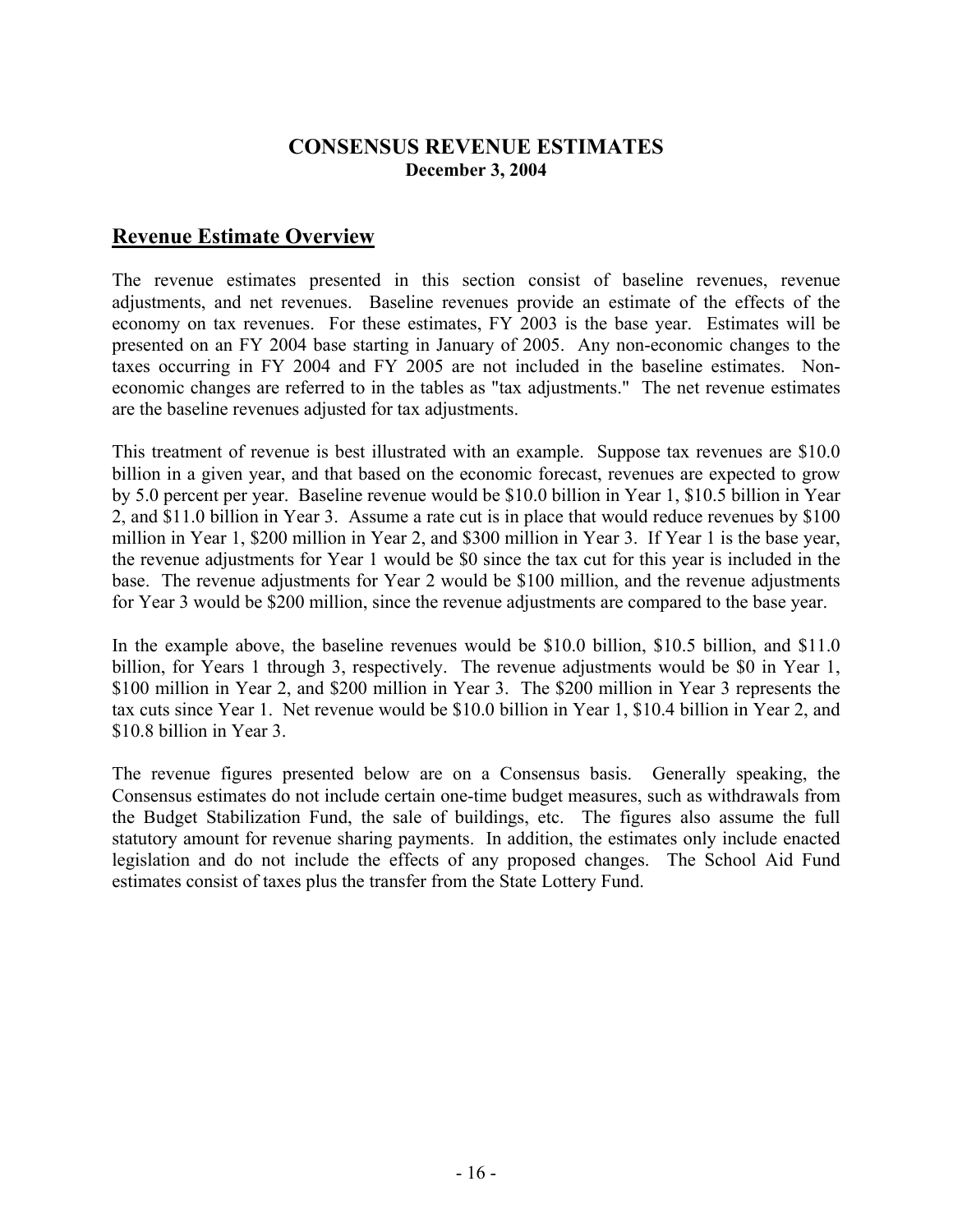#### **CONSENSUS REVENUE ESTIMATES December 3, 2004**

#### **Revenue Estimate Overview**

The revenue estimates presented in this section consist of baseline revenues, revenue adjustments, and net revenues. Baseline revenues provide an estimate of the effects of the economy on tax revenues. For these estimates, FY 2003 is the base year. Estimates will be presented on an FY 2004 base starting in January of 2005. Any non-economic changes to the taxes occurring in FY 2004 and FY 2005 are not included in the baseline estimates. Noneconomic changes are referred to in the tables as "tax adjustments." The net revenue estimates are the baseline revenues adjusted for tax adjustments.

This treatment of revenue is best illustrated with an example. Suppose tax revenues are \$10.0 billion in a given year, and that based on the economic forecast, revenues are expected to grow by 5.0 percent per year. Baseline revenue would be \$10.0 billion in Year 1, \$10.5 billion in Year 2, and \$11.0 billion in Year 3. Assume a rate cut is in place that would reduce revenues by \$100 million in Year 1, \$200 million in Year 2, and \$300 million in Year 3. If Year 1 is the base year, the revenue adjustments for Year 1 would be \$0 since the tax cut for this year is included in the base. The revenue adjustments for Year 2 would be \$100 million, and the revenue adjustments for Year 3 would be \$200 million, since the revenue adjustments are compared to the base year.

In the example above, the baseline revenues would be \$10.0 billion, \$10.5 billion, and \$11.0 billion, for Years 1 through 3, respectively. The revenue adjustments would be \$0 in Year 1, \$100 million in Year 2, and \$200 million in Year 3. The \$200 million in Year 3 represents the tax cuts since Year 1. Net revenue would be \$10.0 billion in Year 1, \$10.4 billion in Year 2, and \$10.8 billion in Year 3.

The revenue figures presented below are on a Consensus basis. Generally speaking, the Consensus estimates do not include certain one-time budget measures, such as withdrawals from the Budget Stabilization Fund, the sale of buildings, etc. The figures also assume the full statutory amount for revenue sharing payments. In addition, the estimates only include enacted legislation and do not include the effects of any proposed changes. The School Aid Fund estimates consist of taxes plus the transfer from the State Lottery Fund.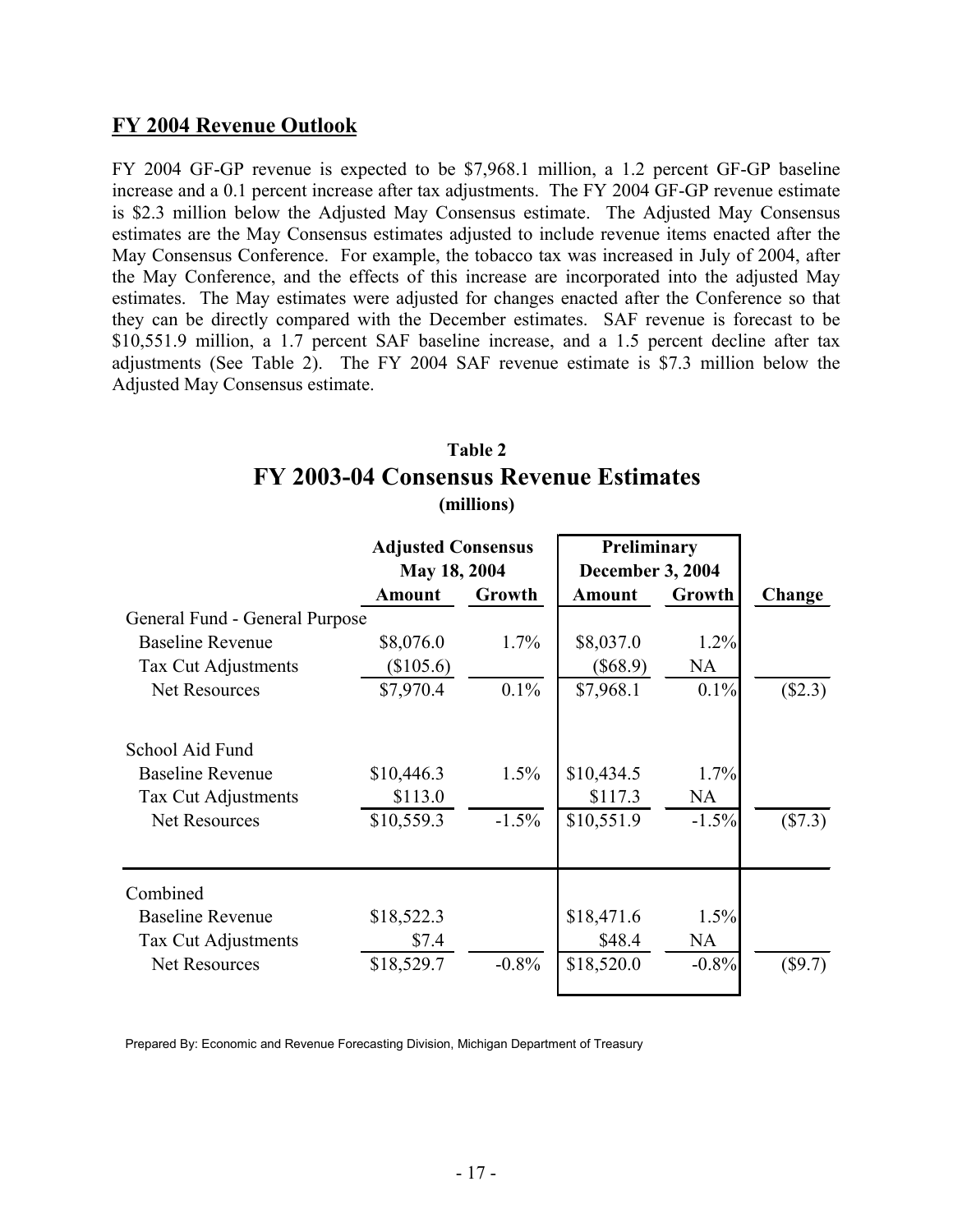#### **FY 2004 Revenue Outlook**

FY 2004 GF-GP revenue is expected to be \$7,968.1 million, a 1.2 percent GF-GP baseline increase and a 0.1 percent increase after tax adjustments. The FY 2004 GF-GP revenue estimate is \$2.3 million below the Adjusted May Consensus estimate. The Adjusted May Consensus estimates are the May Consensus estimates adjusted to include revenue items enacted after the May Consensus Conference. For example, the tobacco tax was increased in July of 2004, after the May Conference, and the effects of this increase are incorporated into the adjusted May estimates. The May estimates were adjusted for changes enacted after the Conference so that they can be directly compared with the December estimates. SAF revenue is forecast to be \$10,551.9 million, a 1.7 percent SAF baseline increase, and a 1.5 percent decline after tax adjustments (See Table 2). The FY 2004 SAF revenue estimate is \$7.3 million below the Adjusted May Consensus estimate.

#### **Table 2 FY 2003-04 Consensus Revenue Estimates (millions)**

|                                | <b>Adjusted Consensus</b> |              | Preliminary   |                         |           |  |
|--------------------------------|---------------------------|--------------|---------------|-------------------------|-----------|--|
|                                |                           | May 18, 2004 |               | <b>December 3, 2004</b> |           |  |
|                                | <b>Amount</b>             | Growth       | <b>Amount</b> | Growth                  | Change    |  |
| General Fund - General Purpose |                           |              |               |                         |           |  |
| <b>Baseline Revenue</b>        | \$8,076.0                 | $1.7\%$      | \$8,037.0     | 1.2%                    |           |  |
| Tax Cut Adjustments            | (\$105.6)                 |              | (\$68.9)      | <b>NA</b>               |           |  |
| <b>Net Resources</b>           | \$7,970.4                 | $0.1\%$      | \$7,968.1     | $0.1\%$                 | (\$2.3)   |  |
| School Aid Fund                |                           |              |               |                         |           |  |
| <b>Baseline Revenue</b>        | \$10,446.3                | 1.5%         | \$10,434.5    | 1.7%                    |           |  |
| Tax Cut Adjustments            | \$113.0                   |              | \$117.3       | NA                      |           |  |
| <b>Net Resources</b>           | \$10,559.3                | $-1.5%$      | \$10,551.9    | $-1.5%$                 | (\$7.3)   |  |
| Combined                       |                           |              |               |                         |           |  |
| <b>Baseline Revenue</b>        | \$18,522.3                |              | \$18,471.6    | 1.5%                    |           |  |
| Tax Cut Adjustments            | \$7.4                     |              | \$48.4        | NA                      |           |  |
| <b>Net Resources</b>           | \$18,529.7                | $-0.8\%$     | \$18,520.0    | $-0.8%$                 | $(\$9.7)$ |  |

Prepared By: Economic and Revenue Forecasting Division, Michigan Department of Treasury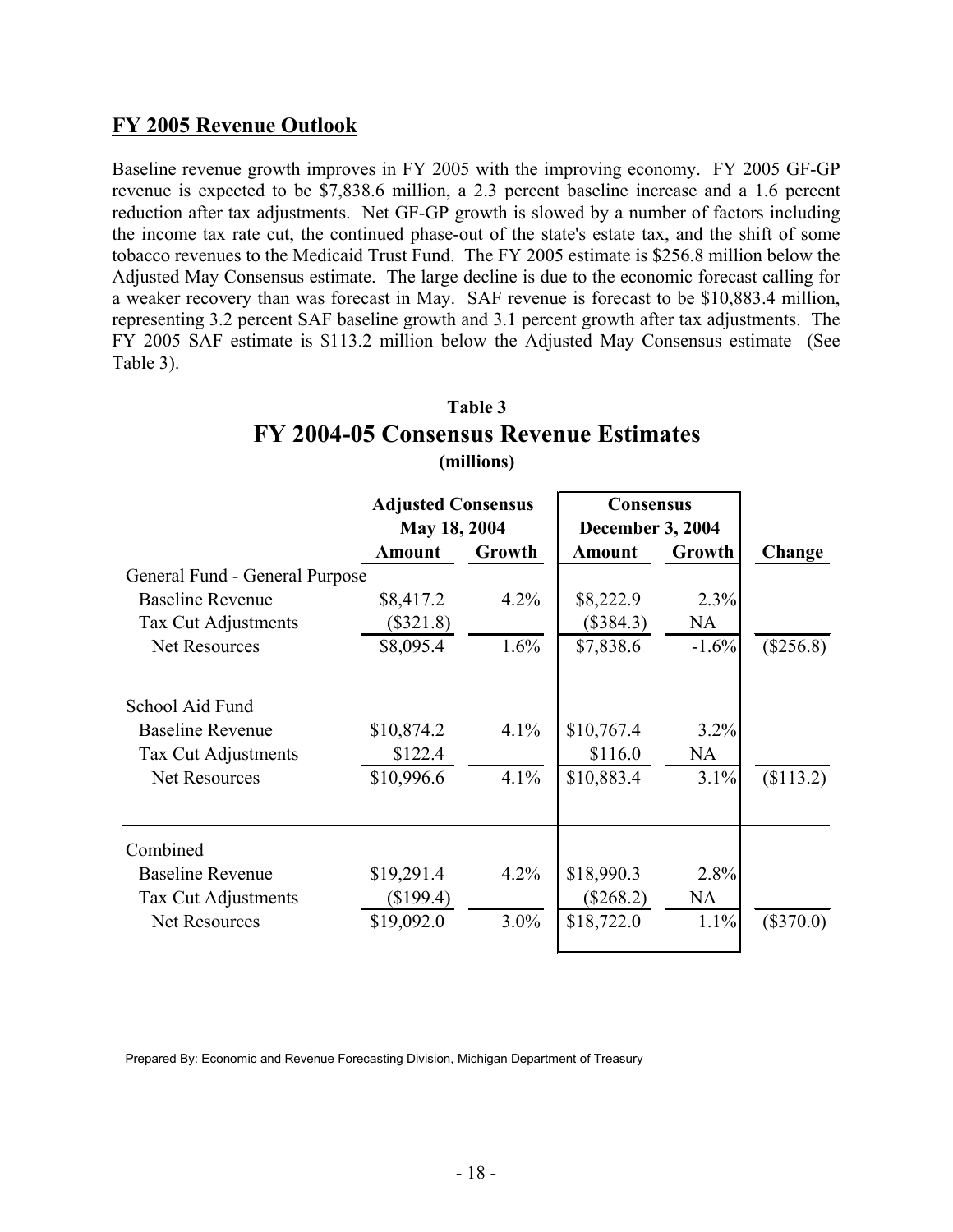#### **FY 2005 Revenue Outlook**

Baseline revenue growth improves in FY 2005 with the improving economy. FY 2005 GF-GP revenue is expected to be \$7,838.6 million, a 2.3 percent baseline increase and a 1.6 percent reduction after tax adjustments. Net GF-GP growth is slowed by a number of factors including the income tax rate cut, the continued phase-out of the state's estate tax, and the shift of some tobacco revenues to the Medicaid Trust Fund. The FY 2005 estimate is \$256.8 million below the Adjusted May Consensus estimate. The large decline is due to the economic forecast calling for a weaker recovery than was forecast in May. SAF revenue is forecast to be \$10,883.4 million, representing 3.2 percent SAF baseline growth and 3.1 percent growth after tax adjustments. The FY 2005 SAF estimate is \$113.2 million below the Adjusted May Consensus estimate (See Table 3).

#### **Table 3 FY 2004-05 Consensus Revenue Estimates (millions)**

|                                | <b>Adjusted Consensus</b> |               | <b>Consensus</b> |                         |             |  |
|--------------------------------|---------------------------|---------------|------------------|-------------------------|-------------|--|
|                                |                           | May 18, 2004  |                  | <b>December 3, 2004</b> |             |  |
|                                | <b>Amount</b>             | <b>Growth</b> | <b>Amount</b>    | Growth                  | Change      |  |
| General Fund - General Purpose |                           |               |                  |                         |             |  |
| <b>Baseline Revenue</b>        | \$8,417.2                 | $4.2\%$       | \$8,222.9        | 2.3%                    |             |  |
| Tax Cut Adjustments            | $(\$321.8)$               |               | (\$384.3)        | <b>NA</b>               |             |  |
| <b>Net Resources</b>           | \$8,095.4                 | $1.6\%$       | \$7,838.6        | $-1.6%$                 | $(\$256.8)$ |  |
| School Aid Fund                |                           |               |                  |                         |             |  |
| <b>Baseline Revenue</b>        | \$10,874.2                | 4.1%          | \$10,767.4       | 3.2%                    |             |  |
| Tax Cut Adjustments            | \$122.4                   |               | \$116.0          | <b>NA</b>               |             |  |
| <b>Net Resources</b>           | \$10,996.6                | $4.1\%$       | \$10,883.4       | 3.1%                    | \$113.2)    |  |
| Combined                       |                           |               |                  |                         |             |  |
| <b>Baseline Revenue</b>        | \$19,291.4                | 4.2%          | \$18,990.3       | 2.8%                    |             |  |
| Tax Cut Adjustments            | $(\$199.4)$               |               | $(\$268.2)$      | <b>NA</b>               |             |  |
| <b>Net Resources</b>           | \$19,092.0                | $3.0\%$       | \$18,722.0       | 1.1%                    | $(\$370.0)$ |  |

Prepared By: Economic and Revenue Forecasting Division, Michigan Department of Treasury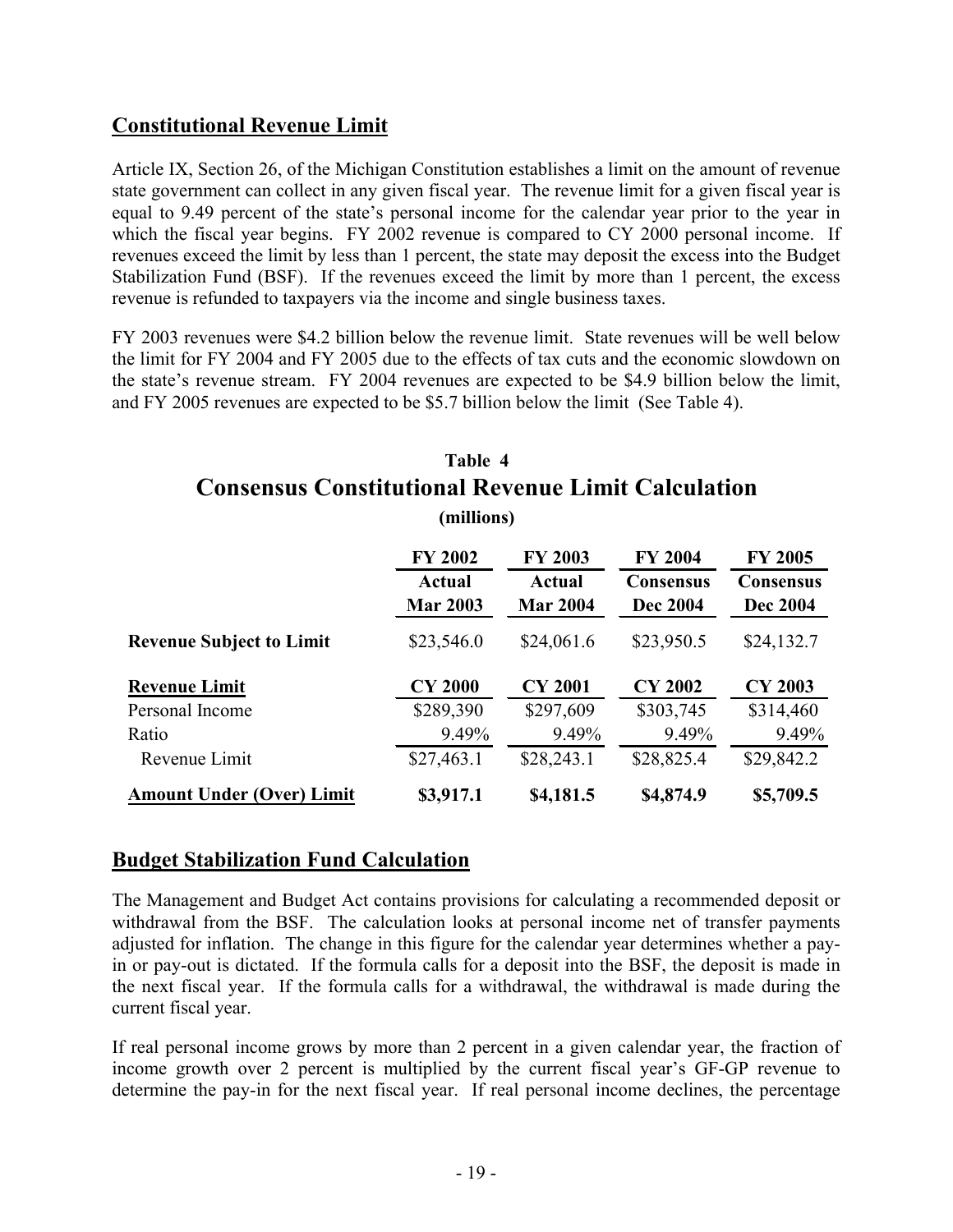#### **Constitutional Revenue Limit**

Article IX, Section 26, of the Michigan Constitution establishes a limit on the amount of revenue state government can collect in any given fiscal year. The revenue limit for a given fiscal year is equal to 9.49 percent of the state's personal income for the calendar year prior to the year in which the fiscal year begins. FY 2002 revenue is compared to CY 2000 personal income. If revenues exceed the limit by less than 1 percent, the state may deposit the excess into the Budget Stabilization Fund (BSF). If the revenues exceed the limit by more than 1 percent, the excess revenue is refunded to taxpayers via the income and single business taxes.

FY 2003 revenues were \$4.2 billion below the revenue limit. State revenues will be well below the limit for FY 2004 and FY 2005 due to the effects of tax cuts and the economic slowdown on the state's revenue stream. FY 2004 revenues are expected to be \$4.9 billion below the limit, and FY 2005 revenues are expected to be \$5.7 billion below the limit (See Table 4).

#### **Table 4 Consensus Constitutional Revenue Limit Calculation (millions)**

|                                  | <b>FY 2002</b><br><b>Actual</b> | <b>FY 2003</b><br>Actual | <b>FY 2004</b><br><b>Consensus</b> | <b>FY 2005</b><br><b>Consensus</b> |
|----------------------------------|---------------------------------|--------------------------|------------------------------------|------------------------------------|
|                                  | <b>Mar 2003</b>                 | <b>Mar 2004</b>          | Dec 2004                           | <b>Dec 2004</b>                    |
| <b>Revenue Subject to Limit</b>  | \$23,546.0                      | \$24,061.6               | \$23,950.5                         | \$24,132.7                         |
| <b>Revenue Limit</b>             | <b>CY 2000</b>                  | <b>CY 2001</b>           | <b>CY 2002</b>                     | <b>CY 2003</b>                     |
| Personal Income                  | \$289,390                       | \$297,609                | \$303,745                          | \$314,460                          |
| Ratio                            | 9.49%                           | 9.49%                    | 9.49%                              | 9.49%                              |
| Revenue Limit                    | \$27,463.1                      | \$28,243.1               | \$28,825.4                         | \$29,842.2                         |
| <b>Amount Under (Over) Limit</b> | \$3,917.1                       | \$4,181.5                | \$4,874.9                          | \$5,709.5                          |

#### **Budget Stabilization Fund Calculation**

The Management and Budget Act contains provisions for calculating a recommended deposit or withdrawal from the BSF. The calculation looks at personal income net of transfer payments adjusted for inflation. The change in this figure for the calendar year determines whether a payin or pay-out is dictated. If the formula calls for a deposit into the BSF, the deposit is made in the next fiscal year. If the formula calls for a withdrawal, the withdrawal is made during the current fiscal year.

If real personal income grows by more than 2 percent in a given calendar year, the fraction of income growth over 2 percent is multiplied by the current fiscal year's GF-GP revenue to determine the pay-in for the next fiscal year. If real personal income declines, the percentage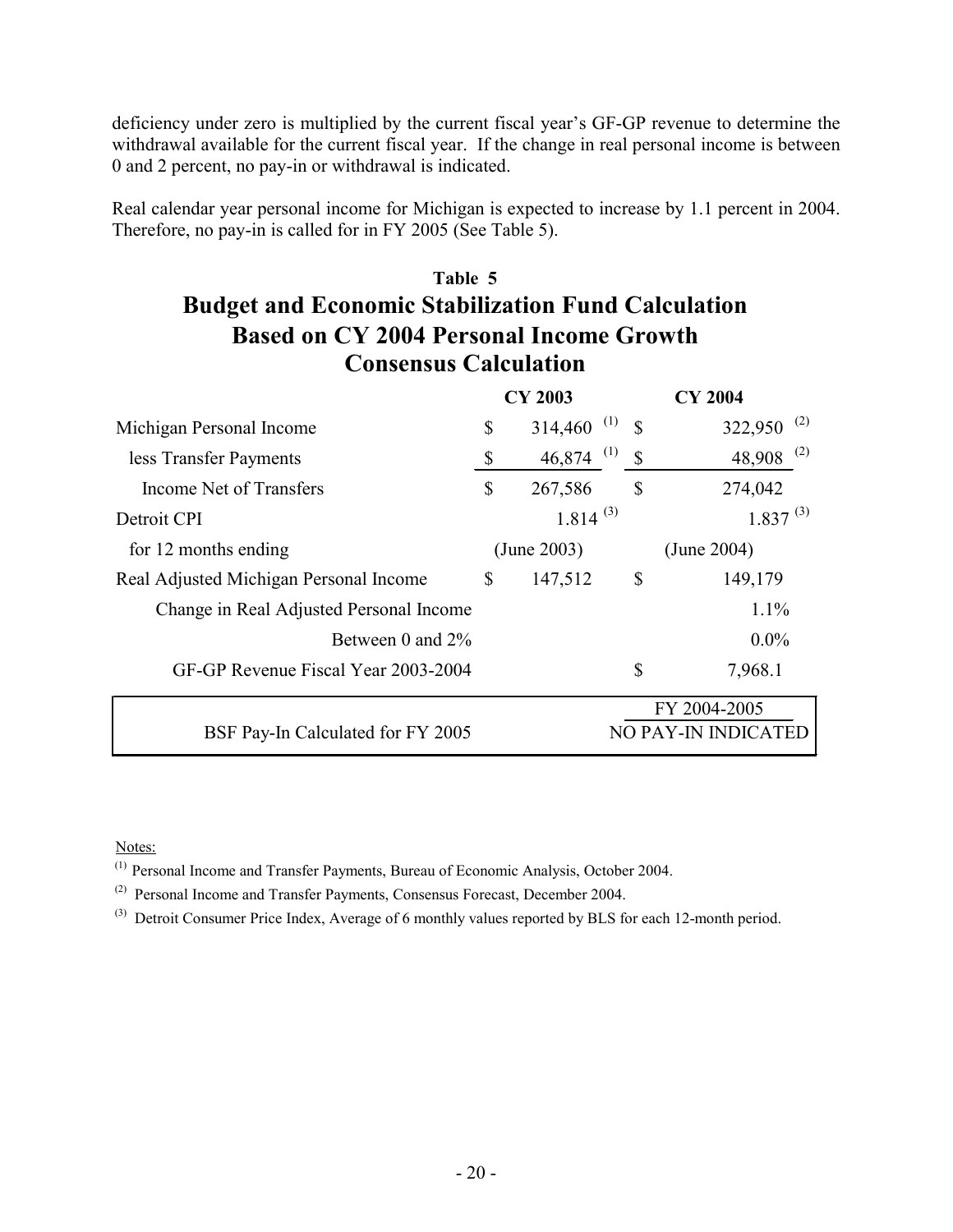deficiency under zero is multiplied by the current fiscal year's GF-GP revenue to determine the withdrawal available for the current fiscal year. If the change in real personal income is between 0 and 2 percent, no pay-in or withdrawal is indicated.

Real calendar year personal income for Michigan is expected to increase by 1.1 percent in 2004. Therefore, no pay-in is called for in FY 2005 (See Table 5).

# **Table 5 Budget and Economic Stabilization Fund Calculation Based on CY 2004 Personal Income Growth Consensus Calculation**

|                                         | <b>CY 2003</b> |               |                      | <b>CY 2004</b>                     |
|-----------------------------------------|----------------|---------------|----------------------|------------------------------------|
| Michigan Personal Income                | \$             | 314,460       | (1)<br>$\mathbf S$   | (2)<br>322,950                     |
| less Transfer Payments                  | \$             | 46,874        | (1)<br>$\mathcal{S}$ | (2)<br>48,908                      |
| Income Net of Transfers                 | \$             | 267,586       | \$                   | 274,042                            |
| Detroit CPI                             |                | $1.814^{(3)}$ |                      | $1.837^{(3)}$                      |
| for 12 months ending                    |                | (June 2003)   |                      | (June 2004)                        |
| Real Adjusted Michigan Personal Income  | $\mathbb{S}$   | 147,512       | $\mathcal{S}$        | 149,179                            |
| Change in Real Adjusted Personal Income |                |               |                      | 1.1%                               |
| Between 0 and 2%                        |                |               |                      | $0.0\%$                            |
| GF-GP Revenue Fiscal Year 2003-2004     |                |               | \$                   | 7,968.1                            |
| BSF Pay-In Calculated for FY 2005       |                |               |                      | FY 2004-2005<br>O PAY-IN INDICATED |

Notes:

(1) Personal Income and Transfer Payments, Bureau of Economic Analysis, October 2004.

(2) Personal Income and Transfer Payments, Consensus Forecast, December 2004.

(3) Detroit Consumer Price Index, Average of 6 monthly values reported by BLS for each 12-month period.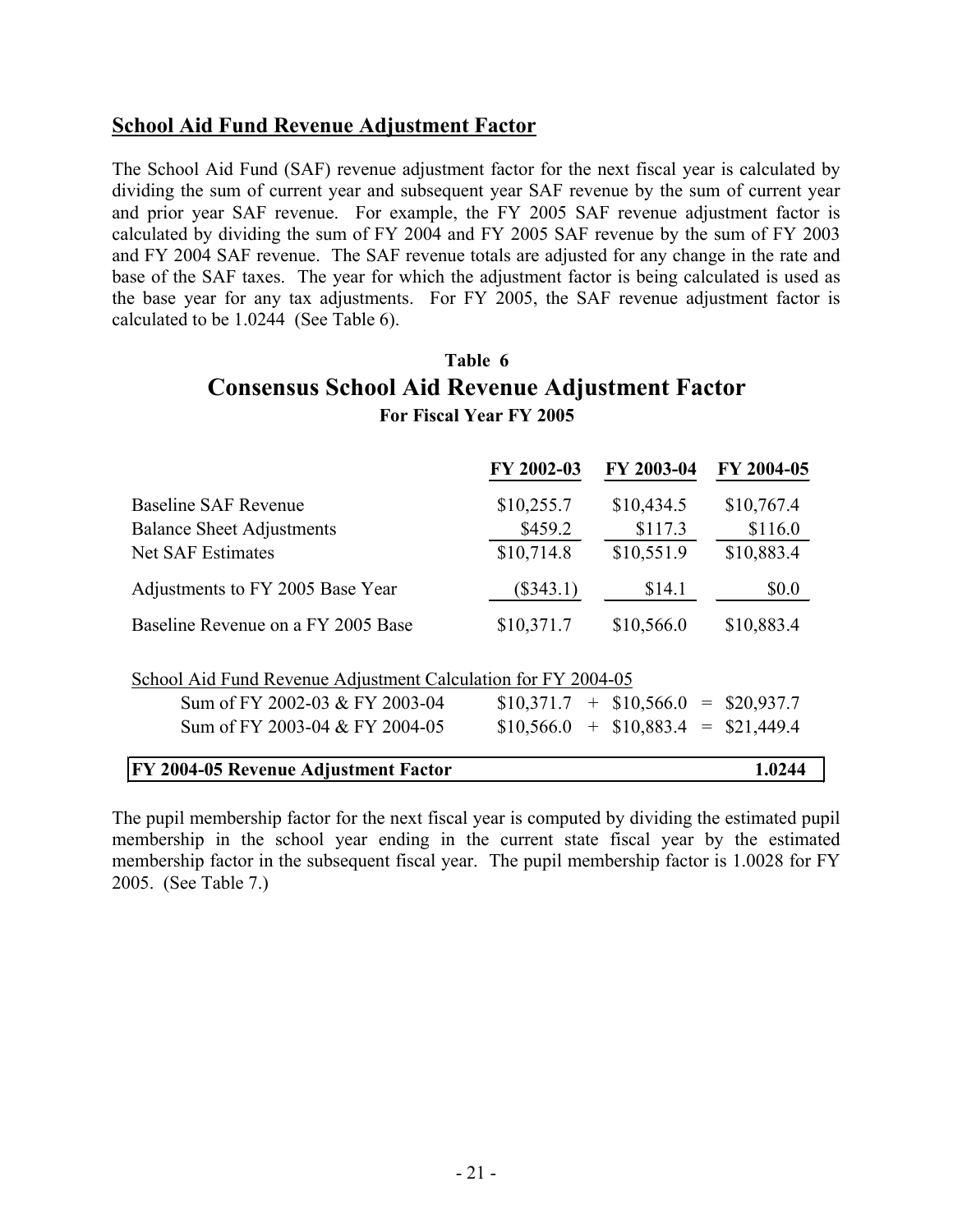#### **School Aid Fund Revenue Adjustment Factor**

The School Aid Fund (SAF) revenue adjustment factor for the next fiscal year is calculated by dividing the sum of current year and subsequent year SAF revenue by the sum of current year and prior year SAF revenue. For example, the FY 2005 SAF revenue adjustment factor is calculated by dividing the sum of FY 2004 and FY 2005 SAF revenue by the sum of FY 2003 and FY 2004 SAF revenue. The SAF revenue totals are adjusted for any change in the rate and base of the SAF taxes. The year for which the adjustment factor is being calculated is used as the base year for any tax adjustments. For FY 2005, the SAF revenue adjustment factor is calculated to be 1.0244 (See Table 6).

#### **Table 6 Consensus School Aid Revenue Adjustment Factor For Fiscal Year FY 2005**

|                                                               | FY 2002-03  | FY 2003-04                  | FY 2004-05 |
|---------------------------------------------------------------|-------------|-----------------------------|------------|
| <b>Baseline SAF Revenue</b>                                   | \$10,255.7  | \$10,434.5                  | \$10,767.4 |
| <b>Balance Sheet Adjustments</b>                              | \$459.2     | \$117.3                     | \$116.0    |
| <b>Net SAF Estimates</b>                                      | \$10,714.8  | \$10,551.9                  | \$10,883.4 |
| Adjustments to FY 2005 Base Year                              | $(\$343.1)$ | \$14.1                      | \$0.0      |
| Baseline Revenue on a FY 2005 Base                            | \$10,371.7  | \$10,566.0                  | \$10,883.4 |
| School Aid Fund Revenue Adjustment Calculation for FY 2004-05 |             |                             |            |
| Sum of FY 2002-03 & FY 2003-04                                | \$10,371.7  | $+$ \$10,566.0 = \$20,937.7 |            |
| Sum of FY 2003-04 & FY 2004-05                                | \$10,566.0  | $+$ \$10,883.4 = \$21,449.4 |            |
| FY 2004-05 Revenue Adjustment Factor                          |             |                             | 1.0244     |

The pupil membership factor for the next fiscal year is computed by dividing the estimated pupil membership in the school year ending in the current state fiscal year by the estimated membership factor in the subsequent fiscal year. The pupil membership factor is 1.0028 for FY 2005. (See Table 7.)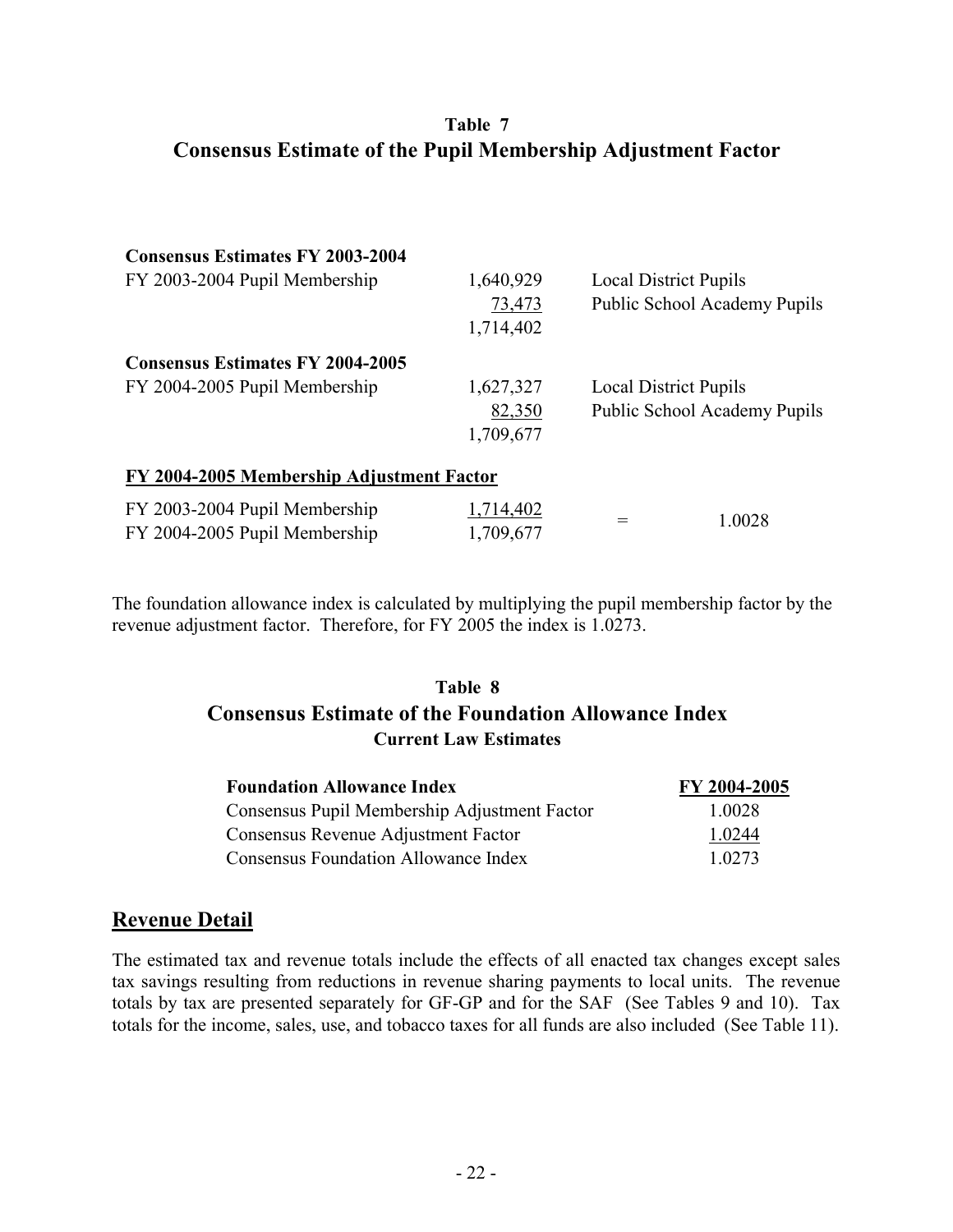#### **Table 7 Consensus Estimate of the Pupil Membership Adjustment Factor**

| <b>Consensus Estimates FY 2003-2004</b>   |           |                              |                              |  |
|-------------------------------------------|-----------|------------------------------|------------------------------|--|
| FY 2003-2004 Pupil Membership             | 1,640,929 | <b>Local District Pupils</b> |                              |  |
|                                           | 73,473    |                              | Public School Academy Pupils |  |
|                                           | 1,714,402 |                              |                              |  |
| <b>Consensus Estimates FY 2004-2005</b>   |           |                              |                              |  |
| FY 2004-2005 Pupil Membership             | 1,627,327 | <b>Local District Pupils</b> |                              |  |
|                                           | 82,350    |                              | Public School Academy Pupils |  |
|                                           | 1,709,677 |                              |                              |  |
| FY 2004-2005 Membership Adjustment Factor |           |                              |                              |  |
| FY 2003-2004 Pupil Membership             | 1,714,402 |                              |                              |  |
| FY 2004-2005 Pupil Membership             | 1,709,677 |                              | 1.0028                       |  |

The foundation allowance index is calculated by multiplying the pupil membership factor by the revenue adjustment factor. Therefore, for FY 2005 the index is 1.0273.

#### **Table 8 Consensus Estimate of the Foundation Allowance Index Current Law Estimates**

| <b>Foundation Allowance Index</b>            | FY 2004-2005 |
|----------------------------------------------|--------------|
| Consensus Pupil Membership Adjustment Factor | 1 0028       |
| Consensus Revenue Adjustment Factor          | 1 0 2 4 4    |
| Consensus Foundation Allowance Index         | 1.0273       |

#### **Revenue Detail**

The estimated tax and revenue totals include the effects of all enacted tax changes except sales tax savings resulting from reductions in revenue sharing payments to local units. The revenue totals by tax are presented separately for GF-GP and for the SAF (See Tables 9 and 10). Tax totals for the income, sales, use, and tobacco taxes for all funds are also included (See Table 11).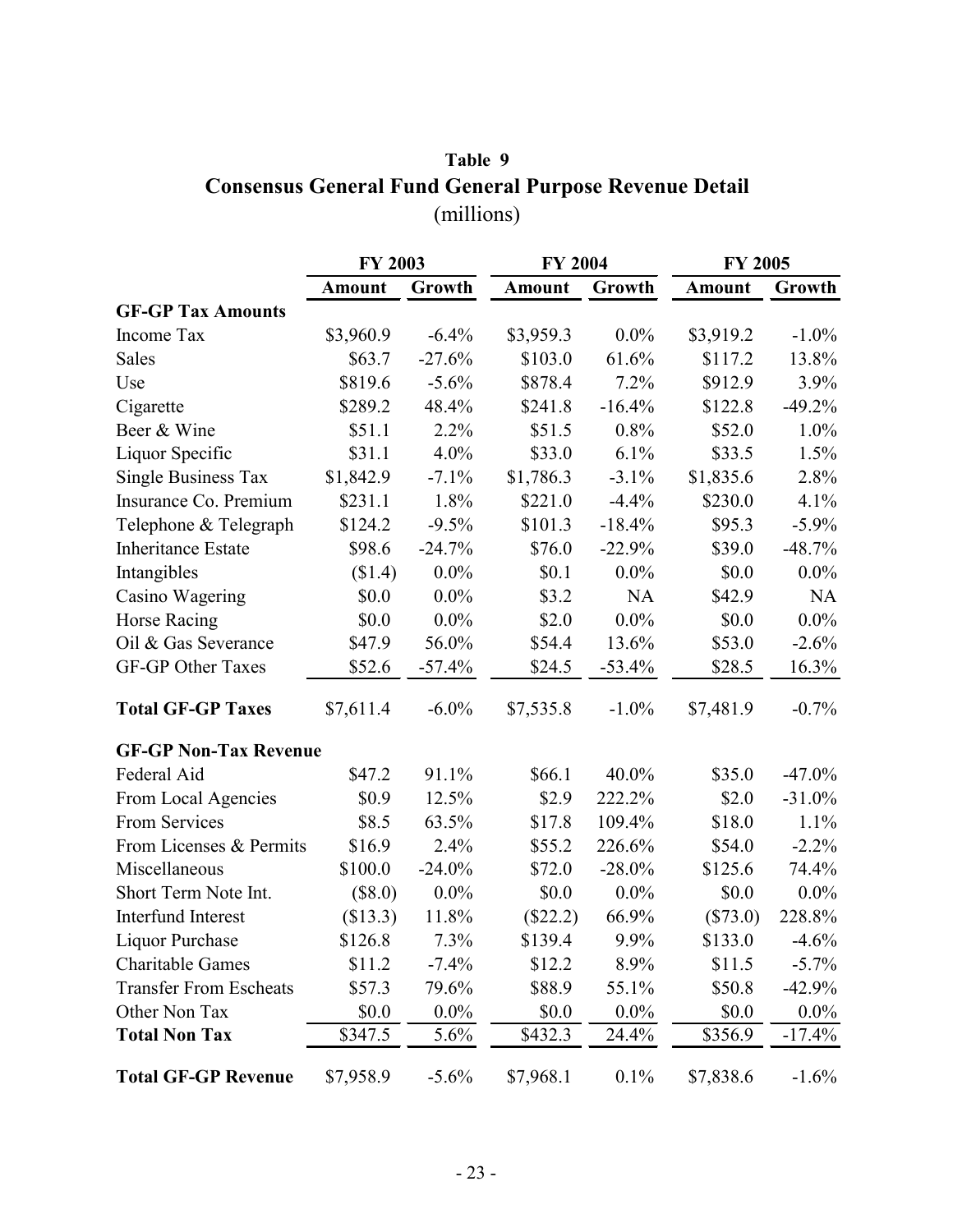# **Table 9 Consensus General Fund General Purpose Revenue Detail** (millions)

|                               | <b>FY 2003</b> |          | <b>FY 2004</b> |           | <b>FY 2005</b> |           |
|-------------------------------|----------------|----------|----------------|-----------|----------------|-----------|
|                               | <b>Amount</b>  | Growth   | <b>Amount</b>  | Growth    | <b>Amount</b>  | Growth    |
| <b>GF-GP Tax Amounts</b>      |                |          |                |           |                |           |
| Income Tax                    | \$3,960.9      | $-6.4%$  | \$3,959.3      | $0.0\%$   | \$3,919.2      | $-1.0\%$  |
| Sales                         | \$63.7         | $-27.6%$ | \$103.0        | 61.6%     | \$117.2        | 13.8%     |
| Use                           | \$819.6        | $-5.6%$  | \$878.4        | 7.2%      | \$912.9        | 3.9%      |
| Cigarette                     | \$289.2        | 48.4%    | \$241.8        | $-16.4%$  | \$122.8        | $-49.2%$  |
| Beer & Wine                   | \$51.1         | 2.2%     | \$51.5         | 0.8%      | \$52.0         | 1.0%      |
| Liquor Specific               | \$31.1         | 4.0%     | \$33.0         | 6.1%      | \$33.5         | 1.5%      |
| <b>Single Business Tax</b>    | \$1,842.9      | $-7.1%$  | \$1,786.3      | $-3.1\%$  | \$1,835.6      | 2.8%      |
| Insurance Co. Premium         | \$231.1        | 1.8%     | \$221.0        | $-4.4%$   | \$230.0        | 4.1%      |
| Telephone & Telegraph         | \$124.2        | $-9.5%$  | \$101.3        | $-18.4%$  | \$95.3         | $-5.9\%$  |
| <b>Inheritance Estate</b>     | \$98.6         | $-24.7%$ | \$76.0         | $-22.9%$  | \$39.0         | $-48.7%$  |
| Intangibles                   | (\$1.4)        | $0.0\%$  | \$0.1          | $0.0\%$   | \$0.0          | $0.0\%$   |
| Casino Wagering               | \$0.0          | $0.0\%$  | \$3.2          | NA        | \$42.9         | <b>NA</b> |
| Horse Racing                  | \$0.0          | $0.0\%$  | \$2.0          | $0.0\%$   | \$0.0          | $0.0\%$   |
| Oil & Gas Severance           | \$47.9         | 56.0%    | \$54.4         | 13.6%     | \$53.0         | $-2.6%$   |
| <b>GF-GP Other Taxes</b>      | \$52.6         | $-57.4%$ | \$24.5         | $-53.4%$  | \$28.5         | $16.3\%$  |
| <b>Total GF-GP Taxes</b>      | \$7,611.4      | $-6.0\%$ | \$7,535.8      | $-1.0\%$  | \$7,481.9      | $-0.7%$   |
| <b>GF-GP Non-Tax Revenue</b>  |                |          |                |           |                |           |
| Federal Aid                   | \$47.2         | 91.1%    | \$66.1         | 40.0%     | \$35.0         | $-47.0\%$ |
| From Local Agencies           | \$0.9          | 12.5%    | \$2.9          | 222.2%    | \$2.0          | $-31.0%$  |
| From Services                 | \$8.5          | 63.5%    | \$17.8         | 109.4%    | \$18.0         | 1.1%      |
| From Licenses & Permits       | \$16.9         | 2.4%     | \$55.2         | 226.6%    | \$54.0         | $-2.2\%$  |
| Miscellaneous                 | \$100.0        | $-24.0%$ | \$72.0         | $-28.0\%$ | \$125.6        | 74.4%     |
| Short Term Note Int.          | $(\$8.0)$      | $0.0\%$  | \$0.0          | $0.0\%$   | \$0.0          | $0.0\%$   |
| Interfund Interest            | (\$13.3)       | 11.8%    | (\$22.2)       | 66.9%     | $(\$73.0)$     | 228.8%    |
| Liquor Purchase               | \$126.8        | 7.3%     | \$139.4        | 9.9%      | \$133.0        | $-4.6%$   |
| <b>Charitable Games</b>       | \$11.2         | $-7.4%$  | \$12.2         | 8.9%      | \$11.5         | $-5.7\%$  |
| <b>Transfer From Escheats</b> | \$57.3         | 79.6%    | \$88.9         | 55.1%     | \$50.8         | $-42.9%$  |
| Other Non Tax                 | \$0.0          | $0.0\%$  | \$0.0          | $0.0\%$   | \$0.0          | $0.0\%$   |
| <b>Total Non Tax</b>          | \$347.5        | 5.6%     | \$432.3        | 24.4%     | \$356.9        | $-17.4%$  |
| <b>Total GF-GP Revenue</b>    | \$7,958.9      | $-5.6\%$ | \$7,968.1      | 0.1%      | \$7,838.6      | $-1.6%$   |